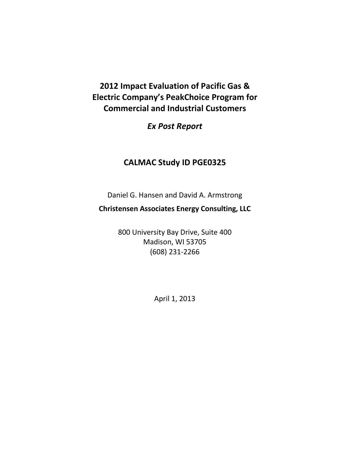**2012 Impact Evaluation of Pacific Gas & Electric Company's PeakChoice Program for Commercial and Industrial Customers** 

*Ex Post Report*

# **CALMAC Study ID PGE0325**

Daniel G. Hansen and David A. Armstrong

**Christensen Associates Energy Consulting, LLC**

800 University Bay Drive, Suite 400 Madison, WI 53705 (608) 231-2266

April 1, 2013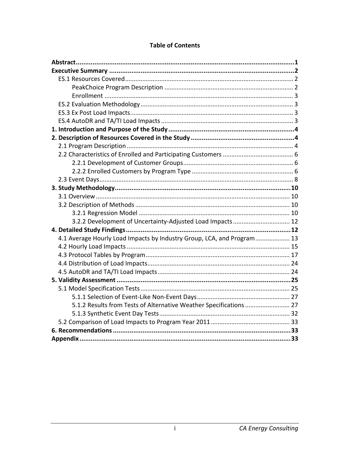| 3.2.2 Development of Uncertainty-Adjusted Load Impacts  12             |  |
|------------------------------------------------------------------------|--|
|                                                                        |  |
| 4.1 Average Hourly Load Impacts by Industry Group, LCA, and Program 13 |  |
|                                                                        |  |
|                                                                        |  |
|                                                                        |  |
|                                                                        |  |
|                                                                        |  |
|                                                                        |  |
|                                                                        |  |
| 5.1.2 Results from Tests of Alternative Weather Specifications  27     |  |
|                                                                        |  |
|                                                                        |  |
|                                                                        |  |
|                                                                        |  |

#### **Table of Contents**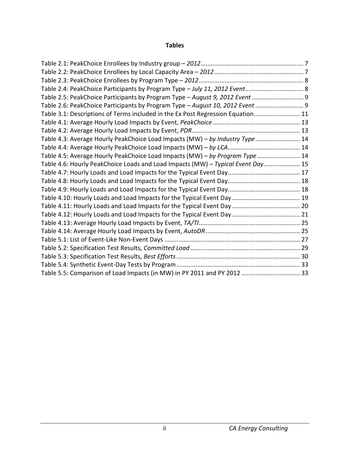#### **Tables**

| Table 2.4: PeakChoice Participants by Program Type - July 11, 2012 Event 8      |  |
|---------------------------------------------------------------------------------|--|
| Table 2.5: PeakChoice Participants by Program Type - August 9, 2012 Event  9    |  |
| Table 2.6: PeakChoice Participants by Program Type - August 10, 2012 Event  9   |  |
| Table 3.1: Descriptions of Terms included in the Ex Post Regression Equation 11 |  |
|                                                                                 |  |
|                                                                                 |  |
| Table 4.3: Average Hourly PeakChoice Load Impacts (MW) - by Industry Type  14   |  |
|                                                                                 |  |
| Table 4.5: Average Hourly PeakChoice Load Impacts (MW) - by Program Type  14    |  |
| Table 4.6: Hourly PeakChoice Loads and Load Impacts (MW) - Typical Event Day 15 |  |
|                                                                                 |  |
|                                                                                 |  |
|                                                                                 |  |
|                                                                                 |  |
|                                                                                 |  |
|                                                                                 |  |
|                                                                                 |  |
|                                                                                 |  |
|                                                                                 |  |
|                                                                                 |  |
|                                                                                 |  |
|                                                                                 |  |
| Table 5.5: Comparison of Load Impacts (in MW) in PY 2011 and PY 2012  33        |  |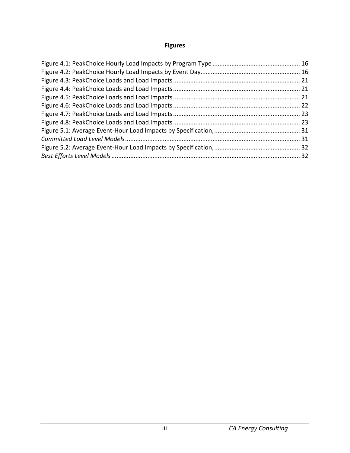## **Figures**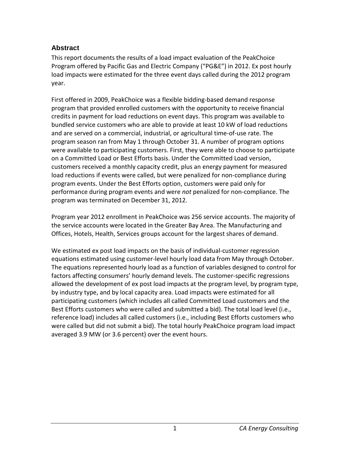#### <span id="page-4-0"></span>**Abstract**

This report documents the results of a load impact evaluation of the PeakChoice Program offered by Pacific Gas and Electric Company ("PG&E") in 2012. Ex post hourly load impacts were estimated for the three event days called during the 2012 program year.

First offered in 2009, PeakChoice was a flexible bidding-based demand response program that provided enrolled customers with the opportunity to receive financial credits in payment for load reductions on event days. This program was available to bundled service customers who are able to provide at least 10 kW of load reductions and are served on a commercial, industrial, or agricultural time-of-use rate. The program season ran from May 1 through October 31. A number of program options were available to participating customers. First, they were able to choose to participate on a Committed Load or Best Efforts basis. Under the Committed Load version, customers received a monthly capacity credit, plus an energy payment for measured load reductions if events were called, but were penalized for non-compliance during program events. Under the Best Efforts option, customers were paid only for performance during program events and were *not* penalized for non-compliance. The program was terminated on December 31, 2012.

Program year 2012 enrollment in PeakChoice was 256 service accounts. The majority of the service accounts were located in the Greater Bay Area. The Manufacturing and Offices, Hotels, Health, Services groups account for the largest shares of demand.

We estimated ex post load impacts on the basis of individual-customer regression equations estimated using customer-level hourly load data from May through October. The equations represented hourly load as a function of variables designed to control for factors affecting consumers' hourly demand levels. The customer-specific regressions allowed the development of ex post load impacts at the program level, by program type, by industry type, and by local capacity area. Load impacts were estimated for all participating customers (which includes all called Committed Load customers and the Best Efforts customers who were called and submitted a bid). The total load level (i.e., reference load) includes all called customers (i.e., including Best Efforts customers who were called but did not submit a bid). The total hourly PeakChoice program load impact averaged 3.9 MW (or 3.6 percent) over the event hours.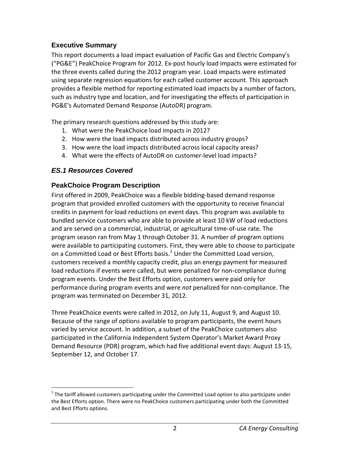### <span id="page-5-0"></span>**Executive Summary**

This report documents a load impact evaluation of Pacific Gas and Electric Company's ("PG&E") PeakChoice Program for 2012. Ex-post hourly load impacts were estimated for the three events called during the 2012 program year. Load impacts were estimated using separate regression equations for each called customer account. This approach provides a flexible method for reporting estimated load impacts by a number of factors, such as industry type and location, and for investigating the effects of participation in PG&E's Automated Demand Response (AutoDR) program.

The primary research questions addressed by this study are:

- 1. What were the PeakChoice load impacts in 2012?
- 2. How were the load impacts distributed across industry groups?
- 3. How were the load impacts distributed across local capacity areas?
- 4. What were the effects of AutoDR on customer-level load impacts?

## <span id="page-5-1"></span>*ES.1 Resources Covered*

## <span id="page-5-2"></span>**PeakChoice Program Description**

First offered in 2009, PeakChoice was a flexible bidding-based demand response program that provided enrolled customers with the opportunity to receive financial credits in payment for load reductions on event days. This program was available to bundled service customers who are able to provide at least 10 kW of load reductions and are served on a commercial, industrial, or agricultural time-of-use rate. The program season ran from May 1 through October 31. A number of program options were available to participating customers. First, they were able to choose to participate on a Committed Load or Best Efforts basis.<sup>[1](#page-5-3)</sup> Under the Committed Load version, customers received a monthly capacity credit, plus an energy payment for measured load reductions if events were called, but were penalized for non-compliance during program events. Under the Best Efforts option, customers were paid only for performance during program events and were *not* penalized for non-compliance. The program was terminated on December 31, 2012.

Three PeakChoice events were called in 2012, on July 11, August 9, and August 10. Because of the range of options available to program participants, the event hours varied by service account. In addition, a subset of the PeakChoice customers also participated in the California Independent System Operator's Market Award Proxy Demand Resource (PDR) program, which had five additional event days: August 13-15, September 12, and October 17.

<span id="page-5-3"></span> $1$  The tariff allowed customers participating under the Committed Load option to also participate under the Best Efforts option. There were no PeakChoice customers participating under both the Committed and Best Efforts options.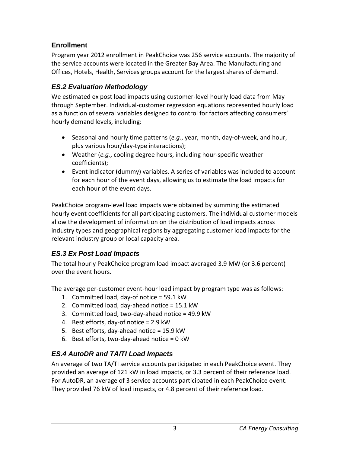# <span id="page-6-0"></span>**Enrollment**

Program year 2012 enrollment in PeakChoice was 256 service accounts. The majority of the service accounts were located in the Greater Bay Area. The Manufacturing and Offices, Hotels, Health, Services groups account for the largest shares of demand.

# <span id="page-6-1"></span>*ES.2 Evaluation Methodology*

We estimated ex post load impacts using customer-level hourly load data from May through September. Individual-customer regression equations represented hourly load as a function of several variables designed to control for factors affecting consumers' hourly demand levels, including:

- Seasonal and hourly time patterns (*e.g.*, year, month, day-of-week, and hour, plus various hour/day-type interactions);
- Weather (*e.g.*, cooling degree hours, including hour-specific weather coefficients);
- Event indicator (dummy) variables. A series of variables was included to account for each hour of the event days, allowing us to estimate the load impacts for each hour of the event days.

PeakChoice program-level load impacts were obtained by summing the estimated hourly event coefficients for all participating customers. The individual customer models allow the development of information on the distribution of load impacts across industry types and geographical regions by aggregating customer load impacts for the relevant industry group or local capacity area.

# <span id="page-6-2"></span>*ES.3 Ex Post Load Impacts*

The total hourly PeakChoice program load impact averaged 3.9 MW (or 3.6 percent) over the event hours.

The average per-customer event-hour load impact by program type was as follows:

- 1. Committed load, day-of notice = 59.1 kW
- 2. Committed load, day-ahead notice = 15.1 kW
- 3. Committed load, two-day-ahead notice = 49.9 kW
- 4. Best efforts, day-of notice = 2.9 kW
- 5. Best efforts, day-ahead notice = 15.9 kW
- 6. Best efforts, two-day-ahead notice = 0 kW

## <span id="page-6-3"></span>*ES.4 AutoDR and TA/TI Load Impacts*

An average of two TA/TI service accounts participated in each PeakChoice event. They provided an average of 121 kW in load impacts, or 3.3 percent of their reference load. For AutoDR, an average of 3 service accounts participated in each PeakChoice event. They provided 76 kW of load impacts, or 4.8 percent of their reference load.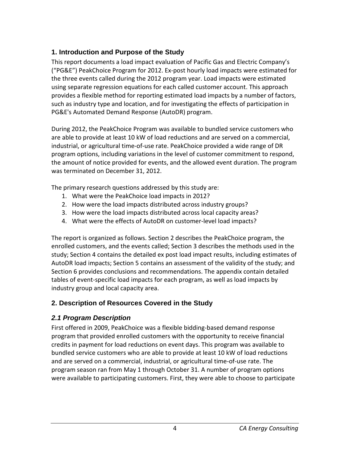## <span id="page-7-0"></span>**1. Introduction and Purpose of the Study**

This report documents a load impact evaluation of Pacific Gas and Electric Company's ("PG&E") PeakChoice Program for 2012. Ex-post hourly load impacts were estimated for the three events called during the 2012 program year. Load impacts were estimated using separate regression equations for each called customer account. This approach provides a flexible method for reporting estimated load impacts by a number of factors, such as industry type and location, and for investigating the effects of participation in PG&E's Automated Demand Response (AutoDR) program.

During 2012, the PeakChoice Program was available to bundled service customers who are able to provide at least 10 kW of load reductions and are served on a commercial, industrial, or agricultural time-of-use rate. PeakChoice provided a wide range of DR program options, including variations in the level of customer commitment to respond, the amount of notice provided for events, and the allowed event duration. The program was terminated on December 31, 2012.

The primary research questions addressed by this study are:

- 1. What were the PeakChoice load impacts in 2012?
- 2. How were the load impacts distributed across industry groups?
- 3. How were the load impacts distributed across local capacity areas?
- 4. What were the effects of AutoDR on customer-level load impacts?

The report is organized as follows. Section 2 describes the PeakChoice program, the enrolled customers, and the events called; Section 3 describes the methods used in the study; Section 4 contains the detailed ex post load impact results, including estimates of AutoDR load impacts; Section 5 contains an assessment of the validity of the study; and Section 6 provides conclusions and recommendations. The appendix contain detailed tables of event-specific load impacts for each program, as well as load impacts by industry group and local capacity area.

# <span id="page-7-1"></span>**2. Description of Resources Covered in the Study**

# <span id="page-7-2"></span>*2.1 Program Description*

First offered in 2009, PeakChoice was a flexible bidding-based demand response program that provided enrolled customers with the opportunity to receive financial credits in payment for load reductions on event days. This program was available to bundled service customers who are able to provide at least 10 kW of load reductions and are served on a commercial, industrial, or agricultural time-of-use rate. The program season ran from May 1 through October 31. A number of program options were available to participating customers. First, they were able to choose to participate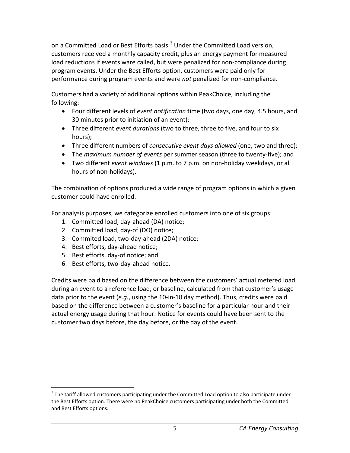on a Committed Load or Best Efforts basis.<sup>[2](#page-8-0)</sup> Under the Committed Load version, customers received a monthly capacity credit, plus an energy payment for measured load reductions if events ware called, but were penalized for non-compliance during program events. Under the Best Efforts option, customers were paid only for performance during program events and were *not* penalized for non-compliance.

Customers had a variety of additional options within PeakChoice, including the following:

- Four different levels of *event notification* time (two days, one day, 4.5 hours, and 30 minutes prior to initiation of an event);
- Three different *event durations* (two to three, three to five, and four to six hours);
- Three different numbers of *consecutive event days allowed* (one, two and three);
- The *maximum number of events* per summer season (three to twenty-five); and
- Two different *event windows* (1 p.m. to 7 p.m. on non-holiday weekdays, or all hours of non-holidays).

The combination of options produced a wide range of program options in which a given customer could have enrolled.

For analysis purposes, we categorize enrolled customers into one of six groups:

- 1. Committed load, day-ahead (DA) notice;
- 2. Committed load, day-of (DO) notice;
- 3. Commited load, two-day-ahead (2DA) notice;
- 4. Best efforts, day-ahead notice;
- 5. Best efforts, day-of notice; and
- 6. Best efforts, two-day-ahead notice.

Credits were paid based on the difference between the customers' actual metered load during an event to a reference load, or baseline, calculated from that customer's usage data prior to the event (*e.g.*, using the 10-in-10 day method). Thus, credits were paid based on the difference between a customer's baseline for a particular hour and their actual energy usage during that hour. Notice for events could have been sent to the customer two days before, the day before, or the day of the event.

<span id="page-8-0"></span> $2$  The tariff allowed customers participating under the Committed Load option to also participate under the Best Efforts option. There were no PeakChoice customers participating under both the Committed and Best Efforts options.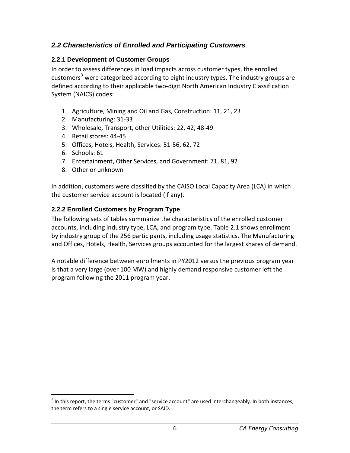## <span id="page-9-0"></span>*2.2 Characteristics of Enrolled and Participating Customers*

### <span id="page-9-1"></span>**2.2.1 Development of Customer Groups**

In order to assess differences in load impacts across customer types, the enrolled customers<sup>[3](#page-9-3)</sup> were categorized according to eight industry types. The industry groups are defined according to their applicable two-digit North American Industry Classification System (NAICS) codes:

- 1. Agriculture, Mining and Oil and Gas, Construction: 11, 21, 23
- 2. Manufacturing: 31-33
- 3. Wholesale, Transport, other Utilities: 22, 42, 48-49
- 4. Retail stores: 44-45
- 5. Offices, Hotels, Health, Services: 51-56, 62, 72
- 6. Schools: 61
- 7. Entertainment, Other Services, and Government: 71, 81, 92
- 8. Other or unknown

In addition, customers were classified by the CAISO Local Capacity Area (LCA) in which the customer service account is located (if any).

### <span id="page-9-2"></span>**2.2.2 Enrolled Customers by Program Type**

The following sets of tables summarize the characteristics of the enrolled customer accounts, including industry type, LCA, and program type. Table 2.1 shows enrollment by industry group of the 256 participants, including usage statistics. The Manufacturing and Offices, Hotels, Health, Services groups accounted for the largest shares of demand.

A notable difference between enrollments in PY2012 versus the previous program year is that a very large (over 100 MW) and highly demand responsive customer left the program following the 2011 program year.

<span id="page-9-3"></span> $3$  In this report, the terms "customer" and "service account" are used interchangeably. In both instances, the term refers to a single service account, or SAID.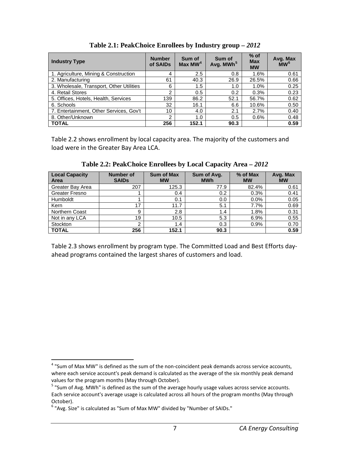<span id="page-10-0"></span>

| <b>Industry Type</b>                     | <b>Number</b><br>of SAIDs | Sum of<br>Max $MW4$ | Sum of<br>Avg. MWh <sup>5</sup> | $%$ of<br><b>Max</b><br><b>MW</b> | Avg. Max<br>$\overline{M}W^6$ |
|------------------------------------------|---------------------------|---------------------|---------------------------------|-----------------------------------|-------------------------------|
| 1. Agriculture, Mining & Construction    | 4                         | 2.5                 | 0.8                             | 1.6%                              | 0.61                          |
| 2. Manufacturing                         | 61                        | 40.3                | 26.9                            | 26.5%                             | 0.66                          |
| 3. Wholesale, Transport, Other Utilities | 6                         | 1.5                 | 1.0                             | 1.0%                              | 0.25                          |
| 4. Retail Stores                         | 2                         | 0.5                 | 0.2                             | 0.3%                              | 0.23                          |
| 5. Offices, Hotels, Health, Services     | 139                       | 86.2                | 52.1                            | 56.7%                             | 0.62                          |
| 6. Schools                               | 32                        | 16.1                | 6.6                             | 10.6%                             | 0.50                          |
| 7. Entertainment, Other Services, Gov't  | 10                        | 4.0                 | 2.1                             | 2.7%                              | 0.40                          |
| 8. Other/Unknown                         | 2                         | 1.0                 | 0.5                             | 0.6%                              | 0.48                          |
| <b>TOTAL</b>                             | 256                       | 152.1               | 90.3                            |                                   | 0.59                          |

**Table 2.1: PeakChoice Enrollees by Industry group –** *2012*

Table 2.2 shows enrollment by local capacity area. The majority of the customers and load were in the Greater Bay Area LCA.

<span id="page-10-1"></span>

| <b>Local Capacity</b><br>Area | <b>Number of</b><br><b>SAIDs</b> | <b>Sum of Max</b><br><b>MW</b> | Sum of Avg.<br><b>MWh</b> | % of Max<br><b>MW</b> | Avg. Max<br><b>MW</b> |
|-------------------------------|----------------------------------|--------------------------------|---------------------------|-----------------------|-----------------------|
| Greater Bay Area              | 207                              | 125.3                          | 77.9                      | 82.4%                 | 0.61                  |
| Greater Fresno                |                                  | 0.4                            | 0.2                       | 0.3%                  | 0.41                  |
| Humboldt                      |                                  | 0.1                            | 0.0                       | 0.0%                  | 0.05                  |
| Kern                          | 17                               | 11.7                           | 5.1                       | 7.7%                  | 0.69                  |
| <b>Northern Coast</b>         | 9                                | 2.8                            | 1.4                       | 1.8%                  | 0.31                  |
| Not in any LCA                | 19                               | 10.5                           | 5.3                       | 6.9%                  | 0.55                  |
| Stockton                      | 2                                | 1.4                            | 0.3                       | 0.9%                  | 0.70                  |
| <b>TOTAL</b>                  | 256                              | 152.1                          | 90.3                      |                       | 0.59                  |

**Table 2.2: PeakChoice Enrollees by Local Capacity Area –** *2012*

Table 2.3 shows enrollment by program type. The Committed Load and Best Efforts dayahead programs contained the largest shares of customers and load.

<span id="page-10-2"></span><sup>&</sup>lt;sup>4</sup> "Sum of Max MW" is defined as the sum of the non-coincident peak demands across service accounts, where each service account's peak demand is calculated as the average of the six monthly peak demand values for the program months (May through October).

<span id="page-10-3"></span><sup>&</sup>lt;sup>5</sup> "Sum of Avg. MWh" is defined as the sum of the average hourly usage values across service accounts. Each service account's average usage is calculated across all hours of the program months (May through October).

<span id="page-10-4"></span> $6$  "Avg. Size" is calculated as "Sum of Max MW" divided by "Number of SAIDs."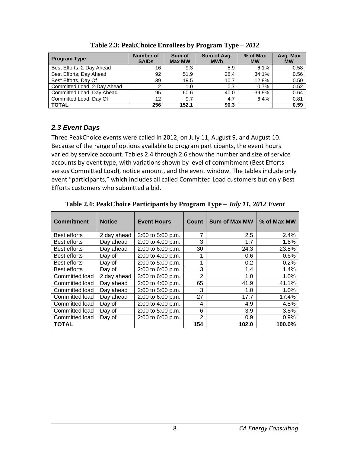<span id="page-11-1"></span>

| <b>Program Type</b>         | Number of<br><b>SAIDs</b> | Sum of<br><b>Max MW</b> | Sum of Avg.<br><b>MWh</b> | % of Max<br><b>MW</b> | Avg. Max<br><b>MW</b> |
|-----------------------------|---------------------------|-------------------------|---------------------------|-----------------------|-----------------------|
| Best Efforts, 2-Day Ahead   | 16                        | 9.3                     | 5.9                       | 6.1%                  | 0.58                  |
| Best Efforts, Day Ahead     | 92                        | 51.9                    | 28.4                      | 34.1%                 | 0.56                  |
| Best Efforts, Day Of        | 39                        | 19.5                    | 10.7                      | 12.8%                 | 0.50                  |
| Committed Load, 2-Day Ahead | 2                         | 1.0                     | 0.7                       | 0.7%                  | 0.52                  |
| Committed Load, Day Ahead   | 95                        | 60.6                    | 40.0                      | 39.9%                 | 0.64                  |
| Committed Load, Day Of      | 12                        | 9.7                     | 4.7                       | 6.4%                  | 0.81                  |
| <b>TOTAL</b>                | 256                       | 152.1                   | 90.3                      |                       | 0.59                  |

**Table 2.3: PeakChoice Enrollees by Program Type –** *2012*

### <span id="page-11-0"></span>*2.3 Event Days*

Three PeakChoice events were called in 2012, on July 11, August 9, and August 10. Because of the range of options available to program participants, the event hours varied by service account. Tables 2.4 through 2.6 show the number and size of service accounts by event type, with variations shown by level of commitment (Best Efforts versus Committed Load), notice amount, and the event window. The tables include only event "participants," which includes all called Committed Load customers but only Best Efforts customers who submitted a bid.

<span id="page-11-2"></span>

| <b>Commitment</b> | <b>Notice</b> | <b>Event Hours</b>    | Count          | <b>Sum of Max MW</b> | % of Max MW |
|-------------------|---------------|-----------------------|----------------|----------------------|-------------|
| Best efforts      | 2 day ahead   | $3:00$ to $5:00$ p.m. | 7              | 2.5                  | 2.4%        |
| Best efforts      | Day ahead     | $2:00$ to $4:00$ p.m. | 3              | 1.7                  | 1.6%        |
| Best efforts      | Day ahead     | 2:00 to 6:00 p.m.     | 30             | 24.3                 | 23.8%       |
| Best efforts      | Day of        | 2:00 to 4:00 p.m.     | 1              | 0.6                  | 0.6%        |
| Best efforts      | Day of        | 2:00 to 5:00 p.m.     | 4              | 0.2                  | 0.2%        |
| Best efforts      | Day of        | $2:00$ to 6:00 p.m.   | 3              | 1.4                  | 1.4%        |
| Committed load    | 2 day ahead   | 3:00 to 6:00 p.m.     | $\overline{2}$ | 1.0                  | 1.0%        |
| Committed load    | Day ahead     | 2:00 to 4:00 p.m.     | 65             | 41.9                 | 41.1%       |
| Committed load    | Dav ahead     | 2:00 to 5:00 p.m.     | 3              | 1.0                  | 1.0%        |
| Committed load    | Day ahead     | 2:00 to 6:00 p.m.     | 27             | 17.7                 | 17.4%       |
| Committed load    | Day of        | $2:00$ to $4:00$ p.m. | 4              | 4.9                  | 4.8%        |
| Committed load    | Day of        | 2:00 to 5:00 p.m.     | 6              | 3.9                  | 3.8%        |
| Committed load    | Day of        | 2:00 to 6:00 p.m.     | $\mathfrak{p}$ | 0.9                  | 0.9%        |
| TOTAL             |               |                       | 154            | 102.0                | 100.0%      |

**Table 2.4: PeakChoice Participants by Program Type –** *July 11, 2012 Event*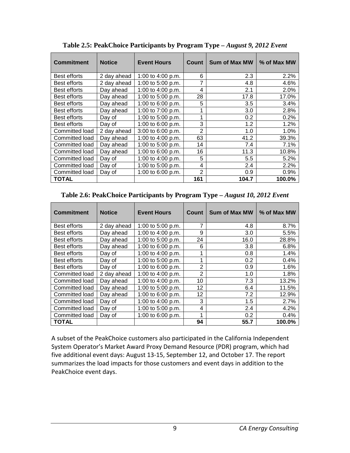<span id="page-12-0"></span>

| <b>Commitment</b> | <b>Notice</b> | <b>Event Hours</b> | <b>Count</b>   | <b>Sum of Max MW</b> | % of Max MW |
|-------------------|---------------|--------------------|----------------|----------------------|-------------|
| Best efforts      | 2 day ahead   | 1:00 to 4:00 p.m.  | 6              | 2.3                  | 2.2%        |
| Best efforts      | 2 day ahead   | 1:00 to 5:00 p.m.  |                | 4.8                  | 4.6%        |
| Best efforts      | Day ahead     | 1:00 to 4:00 p.m.  | 4              | 2.1                  | 2.0%        |
| Best efforts      | Day ahead     | 1:00 to 5:00 p.m.  | 28             | 17.8                 | 17.0%       |
| Best efforts      | Day ahead     | 1:00 to 6:00 p.m.  | 5              | 3.5                  | 3.4%        |
| Best efforts      | Day ahead     | 1:00 to 7:00 p.m.  | 1              | 3.0                  | 2.8%        |
| Best efforts      | Day of        | 1:00 to 5:00 p.m.  |                | 0.2                  | 0.2%        |
| Best efforts      | Day of        | 1:00 to 6:00 p.m.  | 3              | 1.2                  | 1.2%        |
| Committed load    | 2 day ahead   | 3:00 to 6:00 p.m.  | 2              | 1.0                  | 1.0%        |
| Committed load    | Day ahead     | 1:00 to 4:00 p.m.  | 63             | 41.2                 | 39.3%       |
| Committed load    | Day ahead     | 1:00 to 5:00 p.m.  | 14             | 7.4                  | 7.1%        |
| Committed load    | Day ahead     | 1:00 to 6:00 p.m.  | 16             | 11.3                 | 10.8%       |
| Committed load    | Day of        | 1:00 to 4:00 p.m.  | 5              | 5.5                  | 5.2%        |
| Committed load    | Day of        | 1:00 to 5:00 p.m.  | 4              | 2.4                  | 2.2%        |
| Committed load    | Day of        | 1:00 to 6:00 p.m.  | $\mathfrak{p}$ | 0.9                  | 0.9%        |
| <b>TOTAL</b>      |               |                    | 161            | 104.7                | 100.0%      |

**Table 2.5: PeakChoice Participants by Program Type –** *August 9, 2012 Event*

#### <span id="page-12-1"></span>**Table 2.6: PeakChoice Participants by Program Type –** *August 10, 2012 Event*

| <b>Commitment</b> | <b>Notice</b> | <b>Event Hours</b> | Count          | Sum of Max MW | % of Max MW |
|-------------------|---------------|--------------------|----------------|---------------|-------------|
| Best efforts      | 2 day ahead   | 1:00 to 5:00 p.m.  | 7              | 4.8           | 8.7%        |
| Best efforts      | Day ahead     | 1:00 to 4:00 p.m.  | 9              | 3.0           | 5.5%        |
| Best efforts      | Day ahead     | 1:00 to 5:00 p.m.  | 24             | 16.0          | 28.8%       |
| Best efforts      | Dav ahead     | 1:00 to 6:00 p.m.  | 6              | 3.8           | 6.8%        |
| Best efforts      | Day of        | 1:00 to 4:00 p.m.  |                | 0.8           | 1.4%        |
| Best efforts      | Day of        | 1:00 to 5:00 p.m.  | 4              | 0.2           | 0.4%        |
| Best efforts      | Day of        | 1:00 to 6:00 p.m.  | $\overline{2}$ | 0.9           | 1.6%        |
| Committed load    | 2 day ahead   | 1:00 to 4:00 p.m.  | $\mathfrak{p}$ | 1.0           | 1.8%        |
| Committed load    | Day ahead     | 1:00 to 4:00 p.m.  | 10             | 7.3           | 13.2%       |
| Committed load    | Day ahead     | 1:00 to 5:00 p.m.  | 12             | 6.4           | 11.5%       |
| Committed load    | Day ahead     | 1:00 to 6:00 p.m.  | 12             | 7.2           | 12.9%       |
| Committed load    | Day of        | 1:00 to 4:00 p.m.  | 3              | 1.5           | 2.7%        |
| Committed load    | Day of        | 1:00 to 5:00 p.m.  | 4              | 2.4           | 4.2%        |
| Committed load    | Day of        | 1:00 to 6:00 p.m.  | 1              | 0.2           | 0.4%        |
| TOTAL             |               |                    | 94             | 55.7          | 100.0%      |

A subset of the PeakChoice customers also participated in the California Independent System Operator's Market Award Proxy Demand Resource (PDR) program, which had five additional event days: August 13-15, September 12, and October 17. The report summarizes the load impacts for those customers and event days in addition to the PeakChoice event days.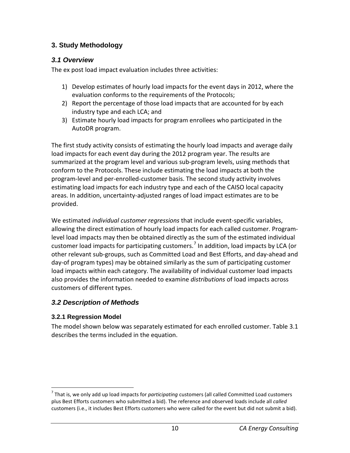## <span id="page-13-0"></span>**3. Study Methodology**

### <span id="page-13-1"></span>*3.1 Overview*

The ex post load impact evaluation includes three activities:

- 1) Develop estimates of hourly load impacts for the event days in 2012, where the evaluation conforms to the requirements of the Protocols;
- 2) Report the percentage of those load impacts that are accounted for by each industry type and each LCA; and
- 3) Estimate hourly load impacts for program enrollees who participated in the AutoDR program.

The first study activity consists of estimating the hourly load impacts and average daily load impacts for each event day during the 2012 program year. The results are summarized at the program level and various sub-program levels, using methods that conform to the Protocols. These include estimating the load impacts at both the program-level and per-enrolled-customer basis. The second study activity involves estimating load impacts for each industry type and each of the CAISO local capacity areas. In addition, uncertainty-adjusted ranges of load impact estimates are to be provided.

We estimated *individual customer regressions* that include event-specific variables, allowing the direct estimation of hourly load impacts for each called customer. Programlevel load impacts may then be obtained directly as the sum of the estimated individual customer load impacts for participating customers.<sup>[7](#page-13-4)</sup> In addition, load impacts by LCA (or other relevant sub-groups, such as Committed Load and Best Efforts, and day-ahead and day-of program types) may be obtained similarly as the sum of participating customer load impacts within each category. The availability of individual customer load impacts also provides the information needed to examine *distributions* of load impacts across customers of different types.

## <span id="page-13-2"></span>*3.2 Description of Methods*

### <span id="page-13-3"></span>**3.2.1 Regression Model**

The model shown below was separately estimated for each enrolled customer. Table 3.1 describes the terms included in the equation.

<span id="page-13-4"></span> <sup>7</sup> That is, we only add up load impacts for *participating* customers (all called Committed Load customers plus Best Efforts customers who submitted a bid). The reference and observed loads include all *called* customers (i.e., it includes Best Efforts customers who were called for the event but did not submit a bid).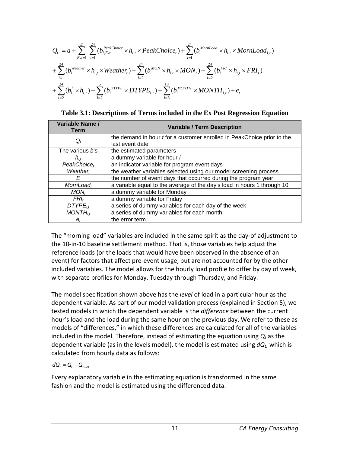$$
Q_{t} = a + \sum_{Evt=1}^{E} \sum_{i=1}^{24} (b_{i,Evt}^{PeakChoice} \times h_{i,t} \times PeakChoice_t) + \sum_{i=1}^{24} (b_{i}^{MonLoad} \times h_{i,t} \times HornLoad_{i,t})
$$
  
+ 
$$
\sum_{i=1}^{24} (b_{i}^{Weather} \times h_{i,t} \times Weather_t) + \sum_{i=2}^{24} (b_{i}^{MON} \times h_{i,t} \times MON_t) + \sum_{i=2}^{24} (b_{i}^{FRI} \times h_{i,t} \times FRI_t)
$$
  
+ 
$$
\sum_{i=2}^{24} (b_{i}^{h} \times h_{i,t}) + \sum_{i=2}^{5} (b_{i}^{DTYPE} \times DTYPE_{i,t}) + \sum_{i=6}^{10} (b_{i}^{MONTH} \times MONTH_{i,t}) + e_{t}
$$

<span id="page-14-0"></span>

|  | Table 3.1: Descriptions of Terms included in the Ex Post Regression Equation |  |
|--|------------------------------------------------------------------------------|--|
|  |                                                                              |  |

| Variable Name /<br><b>Term</b> | <b>Variable / Term Description</b>                                             |  |  |  |  |  |
|--------------------------------|--------------------------------------------------------------------------------|--|--|--|--|--|
| $Q_t$                          | the demand in hour <i>t</i> for a customer enrolled in PeakChoice prior to the |  |  |  |  |  |
|                                | last event date                                                                |  |  |  |  |  |
| The various b's                | the estimated parameters                                                       |  |  |  |  |  |
| $h_{i,t}$                      | a dummy variable for hour i                                                    |  |  |  |  |  |
| $PeakChoice_t$                 | an indicator variable for program event days                                   |  |  |  |  |  |
| Weather <sub>t</sub>           | the weather variables selected using our model screening process               |  |  |  |  |  |
| F                              | the number of event days that occurred during the program year                 |  |  |  |  |  |
| $MornLoad_t$                   | a variable equal to the average of the day's load in hours 1 through 10        |  |  |  |  |  |
| MON <sub>t</sub>               | a dummy variable for Monday                                                    |  |  |  |  |  |
| FRI.                           | a dummy variable for Friday                                                    |  |  |  |  |  |
| $DTYPE_{it}$                   | a series of dummy variables for each day of the week                           |  |  |  |  |  |
| $MONTH_{it}$                   | a series of dummy variables for each month                                     |  |  |  |  |  |
| $e_t$                          | the error term.                                                                |  |  |  |  |  |

The "morning load" variables are included in the same spirit as the day-of adjustment to the 10-in-10 baseline settlement method. That is, those variables help adjust the reference loads (or the loads that would have been observed in the absence of an event) for factors that affect pre-event usage, but are not accounted for by the other included variables. The model allows for the hourly load profile to differ by day of week, with separate profiles for Monday, Tuesday through Thursday, and Friday.

The model specification shown above has the *level* of load in a particular hour as the dependent variable. As part of our model validation process (explained in Section 5), we tested models in which the dependent variable is the *difference* between the current hour's load and the load during the same hour on the previous day. We refer to these as models of "differences," in which these differences are calculated for all of the variables included in the model. Therefore, instead of estimating the equation using  $Q_t$  as the dependent variable (as in the levels model), the model is estimated using *dQt*, which is calculated from hourly data as follows:

$$
d\boldsymbol{Q}_{\!t}=\boldsymbol{Q}_{\!t}-\boldsymbol{Q}_{\!t-24}
$$

Every explanatory variable in the estimating equation is transformed in the same fashion and the model is estimated using the differenced data.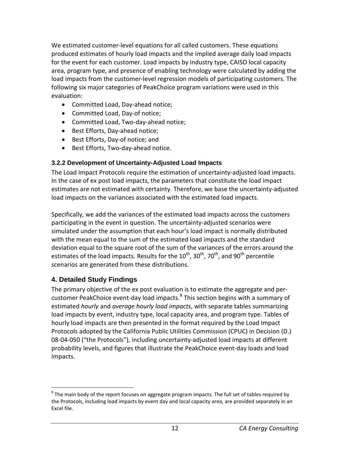We estimated customer-level equations for all called customers. These equations produced estimates of hourly load impacts and the implied average daily load impacts for the event for each customer. Load impacts by industry type, CAISO local capacity area, program type, and presence of enabling technology were calculated by adding the load impacts from the customer-level regression models of participating customers. The following six major categories of PeakChoice program variations were used in this evaluation:

- Committed Load, Day-ahead notice;
- Committed Load, Day-of notice;
- Committed Load, Two-day-ahead notice;
- Best Efforts, Day-ahead notice;
- Best Efforts, Day-of notice; and
- Best Efforts, Two-day-ahead notice.

### <span id="page-15-0"></span>**3.2.2 Development of Uncertainty-Adjusted Load Impacts**

The Load Impact Protocols require the estimation of uncertainty-adjusted load impacts. In the case of ex post load impacts, the parameters that constitute the load impact estimates are not estimated with certainty. Therefore, we base the uncertainty-adjusted load impacts on the variances associated with the estimated load impacts.

Specifically, we add the variances of the estimated load impacts across the customers participating in the event in question. The uncertainty-adjusted scenarios were simulated under the assumption that each hour's load impact is normally distributed with the mean equal to the sum of the estimated load impacts and the standard deviation equal to the square root of the sum of the variances of the errors around the estimates of the load impacts. Results for the  $10^{th}$ ,  $30^{th}$ ,  $70^{th}$ , and  $90^{th}$  percentile scenarios are generated from these distributions.

# <span id="page-15-1"></span>**4. Detailed Study Findings**

The primary objective of the ex post evaluation is to estimate the aggregate and per-customer PeakChoice event-day load impacts.<sup>[8](#page-15-2)</sup> This section begins with a summary of estimated *hourly* and *average hourly load impacts*, with separate tables summarizing load impacts by event, industry type, local capacity area, and program type. Tables of hourly load impacts are then presented in the format required by the Load Impact Protocols adopted by the California Public Utilities Commission (CPUC) in Decision (D.) 08-04-050 ("the Protocols"), including uncertainty-adjusted load impacts at different probability levels, and figures that illustrate the PeakChoice event-day loads and load impacts.

<span id="page-15-2"></span> $8$  The main body of the report focuses on aggregate program impacts. The full set of tables required by the Protocols, including load impacts by event day and local capacity area, are provided separately in an Excel file.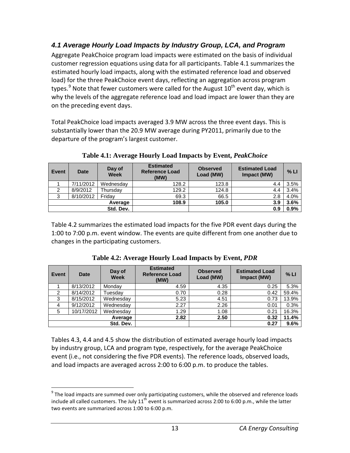# <span id="page-16-0"></span>*4.1 Average Hourly Load Impacts by Industry Group, LCA, and Program*

Aggregate PeakChoice program load impacts were estimated on the basis of individual customer regression equations using data for all participants. Table 4.1 summarizes the estimated hourly load impacts, along with the estimated reference load and observed load) for the three PeakChoice event days, reflecting an aggregation across program types.<sup>[9](#page-16-3)</sup> Note that fewer customers were called for the August 10<sup>th</sup> event day, which is why the levels of the aggregate reference load and load impact are lower than they are on the preceding event days.

Total PeakChoice load impacts averaged 3.9 MW across the three event days. This is substantially lower than the 20.9 MW average during PY2011, primarily due to the departure of the program's largest customer.

<span id="page-16-1"></span>

| Event | <b>Date</b> | Day of<br><b>Week</b> | <b>Estimated</b><br><b>Reference Load</b><br>(MW) | <b>Observed</b><br>Load (MW) | <b>Estimated Load</b><br>Impact (MW) | $%$ LI |
|-------|-------------|-----------------------|---------------------------------------------------|------------------------------|--------------------------------------|--------|
|       | 7/11/2012   | Wednesday             | 128.2                                             | 123.8                        | 4.4                                  | 3.5%   |
| 2     | 8/9/2012    | Thursday              | 129.2                                             | 124.8                        | 4.4                                  | 3.4%   |
| 3     | 8/10/2012   | Fridav                | 69.3                                              | 66.5                         | 2.8                                  | 4.0%   |
|       |             | Average               | 108.9                                             | 105.0                        | 3.9                                  | 3.6%   |
|       |             | Std. Dev.             |                                                   |                              | 0.9                                  | 0.9%   |

**Table 4.1: Average Hourly Load Impacts by Event,** *PeakChoice*

Table 4.2 summarizes the estimated load impacts for the five PDR event days during the 1:00 to 7:00 p.m. event window. The events are quite different from one another due to changes in the participating customers.

<span id="page-16-2"></span>

| <b>Event</b> | <b>Date</b> | Day of<br><b>Week</b> | <b>Estimated</b><br><b>Reference Load</b><br>(MW) | <b>Observed</b><br>Load (MW) | <b>Estimated Load</b><br>Impact (MW) | % LI  |
|--------------|-------------|-----------------------|---------------------------------------------------|------------------------------|--------------------------------------|-------|
|              | 8/13/2012   | Monday                | 4.59                                              | 4.35                         | 0.25                                 | 5.3%  |
| 2            | 8/14/2012   | Tuesday               | 0.70                                              | 0.28                         | 0.42                                 | 59.4% |
| 3            | 8/15/2012   | Wednesday             | 5.23                                              | 4.51                         | 0.73                                 | 13.9% |
| 4            | 9/12/2012   | Wednesday             | 2.27                                              | 2.26                         | 0.01                                 | 0.3%  |
| 5            | 10/17/2012  | Wednesday             | 1.29                                              | 1.08                         | 0.21                                 | 16.3% |
|              |             | Average               | 2.82                                              | 2.50                         | 0.32                                 | 11.4% |
|              |             | Std. Dev.             |                                                   |                              | 0.27                                 | 9.6%  |

**Table 4.2: Average Hourly Load Impacts by Event,** *PDR*

Tables 4.3, 4.4 and 4.5 show the distribution of estimated average hourly load impacts by industry group, LCA and program type, respectively, for the average PeakChoice event (i.e., not considering the five PDR events). The reference loads, observed loads, and load impacts are averaged across 2:00 to 6:00 p.m. to produce the tables.

<span id="page-16-3"></span> $9$  The load impacts are summed over only participating customers, while the observed and reference loads include all called customers. The July  $11^{th}$  event is summarized across 2:00 to 6:00 p.m., while the latter two events are summarized across 1:00 to 6:00 p.m.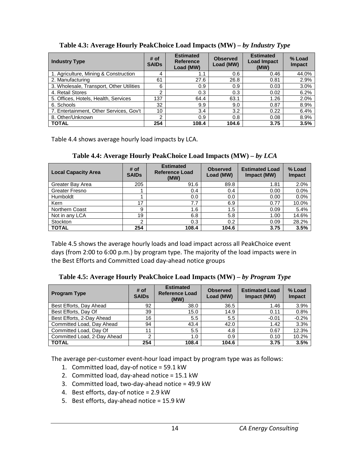| <b>Industry Type</b>                     | # of<br><b>SAIDs</b> | <b>Estimated</b><br><b>Reference</b><br>Load (MW) | <b>Observed</b><br>Load (MW) | <b>Estimated</b><br><b>Load Impact</b><br>(MW) | % Load<br>Impact |
|------------------------------------------|----------------------|---------------------------------------------------|------------------------------|------------------------------------------------|------------------|
| 1. Agriculture, Mining & Construction    |                      | 1.1                                               | 0.6                          | 0.46                                           | 44.0%            |
| 2. Manufacturing                         | 61                   | 27.6                                              | 26.8                         | 0.81                                           | 2.9%             |
| 3. Wholesale, Transport, Other Utilities | 6                    | 0.9                                               | 0.9                          | 0.03                                           | 3.0%             |
| 4. Retail Stores                         | っ                    | 0.3                                               | 0.3                          | 0.02                                           | 6.2%             |
| 5. Offices, Hotels, Health, Services     | 137                  | 64.4                                              | 63.1                         | 1.26                                           | 2.0%             |
| 6. Schools                               | 32                   | 9.9                                               | 9.0                          | 0.87                                           | 8.9%             |
| 7. Entertainment, Other Services, Gov't  | 10                   | 3.4                                               | 3.2                          | 0.22                                           | 6.4%             |
| 8. Other/Unknown                         | っ                    | 0.9                                               | 0.8                          | 0.08                                           | 8.9%             |
| <b>TOTAL</b>                             | 254                  | 108.4                                             | 104.6                        | 3.75                                           | 3.5%             |

<span id="page-17-0"></span>**Table 4.3: Average Hourly PeakChoice Load Impacts (MW) –** *by Industry Type*

Table 4.4 shows average hourly load impacts by LCA.

**Table 4.4: Average Hourly PeakChoice Load Impacts (MW) –** *by LCA*

<span id="page-17-1"></span>

| <b>Local Capacity Area</b> | # of<br><b>SAIDs</b> | <b>Estimated</b><br><b>Reference Load</b><br>(MW) | <b>Observed</b><br>Load (MW) | <b>Estimated Load</b><br>Impact (MW) | % Load<br><b>Impact</b> |
|----------------------------|----------------------|---------------------------------------------------|------------------------------|--------------------------------------|-------------------------|
| Greater Bay Area           | 205                  | 91.6                                              | 89.8                         | 1.81                                 | 2.0%                    |
| Greater Fresno             |                      | 0.4                                               | 0.4                          | 0.00                                 | 0.0%                    |
| <b>Humboldt</b>            |                      | 0.0                                               | 0.0                          | 0.00                                 | 0.0%                    |
| Kern                       | 17                   | 7.7                                               | 6.9                          | 0.77                                 | 10.0%                   |
| Northern Coast             | 9                    | 1.6                                               | 1.5                          | 0.09                                 | 5.4%                    |
| Not in any LCA             | 19                   | 6.8                                               | 5.8                          | 1.00                                 | 14.6%                   |
| Stockton                   | 2                    | 0.3                                               | 0.2                          | 0.09                                 | 28.2%                   |
| <b>TOTAL</b>               | 254                  | 108.4                                             | 104.6                        | 3.75                                 | 3.5%                    |

Table 4.5 shows the average hourly loads and load impact across all PeakChoice event days (from 2:00 to 6:00 p.m.) by program type. The majority of the load impacts were in the Best Efforts and Committed Load day-ahead notice groups

<span id="page-17-2"></span>**Table 4.5: Average Hourly PeakChoice Load Impacts (MW) –** *by Program Type*

| <b>Program Type</b>         | # of<br><b>SAIDs</b> | <b>Estimated</b><br><b>Reference Load</b><br>(MW) | <b>Observed</b><br>Load (MW) | <b>Estimated Load</b><br>Impact (MW) | % Load<br><b>Impact</b> |
|-----------------------------|----------------------|---------------------------------------------------|------------------------------|--------------------------------------|-------------------------|
| Best Efforts, Day Ahead     | 92                   | 38.0                                              | 36.5                         | 1.46                                 | 3.9%                    |
| Best Efforts, Day Of        | 39                   | 15.0                                              | 14.9                         | 0.11                                 | 0.8%                    |
| Best Efforts, 2-Day Ahead   | 16                   | 5.5                                               | 5.5                          | $-0.01$                              | $-0.2%$                 |
| Committed Load, Day Ahead   | 94                   | 43.4                                              | 42.0                         | 1.42                                 | 3.3%                    |
| Committed Load, Day Of      | 11                   | 5.5                                               | 4.8                          | 0.67                                 | 12.3%                   |
| Committed Load, 2-Day Ahead | ົ                    | 1.0                                               | 0.9                          | 0.10                                 | 10.2%                   |
| <b>TOTAL</b>                | 254                  | 108.4                                             | 104.6                        | 3.75                                 | 3.5%                    |

The average per-customer event-hour load impact by program type was as follows:

- 1. Committed load, day-of notice = 59.1 kW
- 2. Committed load, day-ahead notice = 15.1 kW
- 3. Committed load, two-day-ahead notice = 49.9 kW
- 4. Best efforts, day-of notice = 2.9 kW
- 5. Best efforts, day-ahead notice = 15.9 kW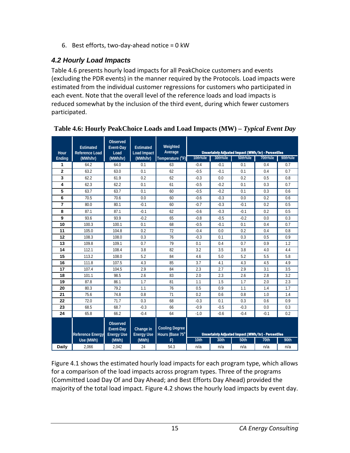6. Best efforts, two-day-ahead notice = 0 kW

## <span id="page-18-0"></span>*4.2 Hourly Load Impacts*

Table 4.6 presents hourly load impacts for all PeakChoice customers and events (excluding the PDR events) in the manner required by the Protocols. Load impacts were estimated from the individual customer regressions for customers who participated in each event. Note that the overall level of the reference loads and load impacts is reduced somewhat by the inclusion of the third event, during which fewer customers participated.

| Hour           | <b>Estimated</b><br><b>Reference Load</b> | <b>Observed</b><br><b>Event-Day</b><br>Load       | <b>Estimated</b><br><b>Load Impact</b> | Weighted<br>Average                      |                                                           |          | <b>Uncertainty Adjusted Impact (MWh/hr) - Percentiles</b> |          |          |
|----------------|-------------------------------------------|---------------------------------------------------|----------------------------------------|------------------------------------------|-----------------------------------------------------------|----------|-----------------------------------------------------------|----------|----------|
| Ending         | (MWh/hr)                                  | (MWh/hr)                                          | (MWh/hr)                               | Temperature (°F)                         | 10th%ile                                                  | 30th%ile | 50th%ile                                                  | 70th%ile | 90th%ile |
| 1              | 64.2                                      | 64.0                                              | 0.1                                    | 63                                       | $-0.4$                                                    | $-0.1$   | 0.1                                                       | 0.4      | 0.7      |
| $\overline{2}$ | 63.2                                      | 63.0                                              | 0.1                                    | 62                                       | $-0.5$                                                    | $-0.1$   | 0.1                                                       | 0.4      | 0.7      |
| 3              | 62.2                                      | 61.9                                              | 0.2                                    | 62                                       | $-0.3$                                                    | 0.0      | 0.2                                                       | 0.5      | 0.8      |
| 4              | 62.3                                      | 62.2                                              | 0.1                                    | 61                                       | $-0.5$                                                    | $-0.2$   | 0.1                                                       | 0.3      | 0.7      |
| 5              | 63.7                                      | 63.7                                              | 0.1                                    | 60                                       | $-0.5$                                                    | $-0.2$   | 0.1                                                       | 0.3      | 0.6      |
| 6              | 70.5                                      | 70.6                                              | 0.0                                    | 60                                       | $-0.6$                                                    | $-0.3$   | 0.0                                                       | 0.2      | 0.6      |
| 7              | 80.0                                      | 80.1                                              | $-0.1$                                 | 60                                       | $-0.7$                                                    | $-0.3$   | $-0.1$                                                    | 0.2      | 0.5      |
| 8              | 87.1                                      | 87.1                                              | $-0.1$                                 | 62                                       | $-0.6$                                                    | $-0.3$   | $-0.1$                                                    | 0.2      | 0.5      |
| 9              | 93.6                                      | 93.9                                              | $-0.2$                                 | 65                                       | $-0.8$                                                    | $-0.5$   | $-0.2$                                                    | 0.0      | 0.3      |
| 10             | 100.3                                     | 100.1                                             | 0.1                                    | 68                                       | $-0.5$                                                    | $-0.1$   | 0.1                                                       | 0.4      | 0.7      |
| 11             | 105.0                                     | 104.8                                             | 0.2                                    | 72                                       | $-0.4$                                                    | 0.0      | 0.2                                                       | 0.4      | 0.8      |
| 12             | 108.3                                     | 108.0                                             | 0.3                                    | 76                                       | $-0.3$                                                    | 0.1      | 0.3                                                       | 0.5      | 0.9      |
| 13             | 109.8                                     | 109.1                                             | 0.7                                    | 79                                       | 0.1                                                       | 0.4      | 0.7                                                       | 0.9      | 1.2      |
| 14             | 112.1                                     | 108.4                                             | 3.8                                    | 82                                       | 3.2                                                       | 3.5      | 3.8                                                       | 4.0      | 4.4      |
| 15             | 113.2                                     | 108.0                                             | 5.2                                    | 84                                       | 4.6                                                       | 5.0      | 5.2                                                       | 5.5      | 5.8      |
| 16             | 111.8                                     | 107.5                                             | 4.3                                    | 85                                       | 3.7                                                       | 4.1      | 4.3                                                       | 4.5      | 4.9      |
| 17             | 107.4                                     | 104.5                                             | 2.9                                    | 84                                       | 2.3                                                       | 2.7      | 2.9                                                       | 3.1      | 3.5      |
| 18             | 101.1                                     | 98.5                                              | 2.6                                    | 83                                       | 2.0                                                       | 2.3      | 2.6                                                       | 2.8      | 3.2      |
| 19             | 87.8                                      | 86.1                                              | 1.7                                    | 81                                       | 1.1                                                       | 1.5      | 1.7                                                       | 2.0      | 2.3      |
| 20             | 80.3                                      | 79.2                                              | 1.1                                    | 76                                       | 0.5                                                       | 0.9      | 1.1                                                       | 1.4      | 1.7      |
| 21             | 75.6                                      | 74.8                                              | 0.8                                    | 71                                       | 0.2                                                       | 0.6      | 0.8                                                       | 1.0      | 1.4      |
| 22             | 72.0                                      | 71.7                                              | 0.3                                    | 68                                       | $-0.3$                                                    | 0.1      | 0.3                                                       | 0.6      | 0.9      |
| 23             | 68.5                                      | 68.7                                              | $-0.3$                                 | 66                                       | $-0.9$                                                    | $-0.5$   | $-0.3$                                                    | 0.0      | 0.3      |
| 24             | 65.8                                      | 66.2                                              | $-0.4$                                 | 64                                       | $-1.0$                                                    | $-0.6$   | $-0.4$                                                    | $-0.1$   | 0.2      |
|                | <b>Reference Energy</b>                   | Observed<br><b>Event-Day</b><br><b>Energy Use</b> | Change in<br><b>Energy Use</b>         | <b>Cooling Degree</b><br>Hours (Base 75° | <b>Uncertainty Adjusted Impact (MWh/hr) - Percentiles</b> |          |                                                           |          |          |
|                | Use (MWh)                                 | (MWh)                                             | (MWh)                                  | F)                                       | 10th                                                      | 30th     | 50th                                                      | 70th     | 90th     |
| <b>Daily</b>   | 2.066                                     | 2,042                                             | 24                                     | 54.3                                     | n/a                                                       | n/a      | n/a                                                       | n/a      | n/a      |

#### <span id="page-18-1"></span>**Table 4.6: Hourly PeakChoice Loads and Load Impacts (MW) –** *Typical Event Day*

Figure 4.1 shows the estimated hourly load impacts for each program type, which allows for a comparison of the load impacts across program types. Three of the programs (Committed Load Day Of and Day Ahead; and Best Efforts Day Ahead) provided the majority of the total load impact. Figure 4.2 shows the hourly load impacts by event day.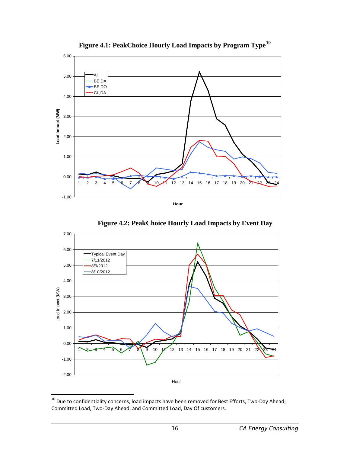<span id="page-19-0"></span>

**Figure 4.1: PeakChoice Hourly Load Impacts by Program Type[10](#page-19-2)**

<span id="page-19-1"></span>**Figure 4.2: PeakChoice Hourly Load Impacts by Event Day**



<span id="page-19-2"></span> $10$  Due to confidentiality concerns, load impacts have been removed for Best Efforts, Two-Day Ahead; Committed Load, Two-Day Ahead; and Committed Load, Day Of customers.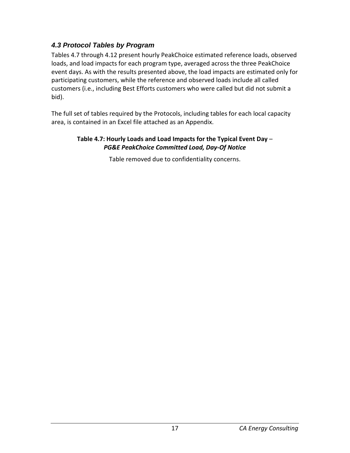## <span id="page-20-0"></span>*4.3 Protocol Tables by Program*

Tables 4.7 through 4.12 present hourly PeakChoice estimated reference loads, observed loads, and load impacts for each program type, averaged across the three PeakChoice event days. As with the results presented above, the load impacts are estimated only for participating customers, while the reference and observed loads include all called customers (i.e., including Best Efforts customers who were called but did not submit a bid).

<span id="page-20-1"></span>The full set of tables required by the Protocols, including tables for each local capacity area, is contained in an Excel file attached as an Appendix.

#### **Table 4.7: Hourly Loads and Load Impacts for the Typical Event Day** – *PG&E PeakChoice Committed Load, Day-Of Notice*

Table removed due to confidentiality concerns.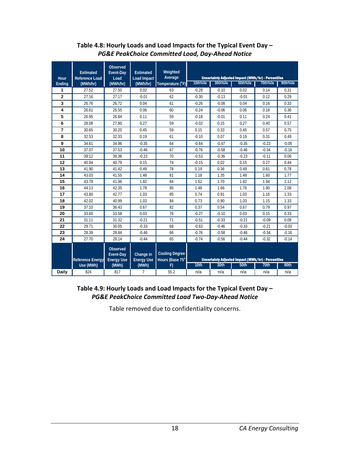<span id="page-21-0"></span>

| <b>Hour</b>             | <b>Estimated</b><br><b>Reference Load</b> | Observed<br>Event-Day<br>Load                     | <b>Estimated</b><br>Load Impact | Weighted<br>Average                      | 10th%ile | 30th%ile | <b>Uncertainty Adjusted Impact (MWh/hr) - Percentiles</b><br>50th%ile | 70th%ile | 90th%ile |
|-------------------------|-------------------------------------------|---------------------------------------------------|---------------------------------|------------------------------------------|----------|----------|-----------------------------------------------------------------------|----------|----------|
| Ending<br>1             | (MWh/hr)<br>27.52                         | (MWh/hr)<br>27.50                                 | (MWh/hr)<br>0.02                | Temperature (°F)<br>63                   | $-0.28$  |          | 0.02                                                                  | 0.14     |          |
|                         |                                           |                                                   |                                 |                                          |          | $-0.10$  |                                                                       |          | 0.31     |
| $\overline{\mathbf{2}}$ | 27.16                                     | 27.17                                             | $-0.01$                         | 62                                       | $-0.30$  | $-0.13$  | $-0.01$                                                               | 0.12     | 0.29     |
| 3                       | 26.76                                     | 26.72                                             | 0.04                            | 61                                       | $-0.26$  | $-0.08$  | 0.04                                                                  | 0.16     | 0.33     |
| 4                       | 26.61                                     | 26.55                                             | 0.06                            | 60                                       | $-0.24$  | $-0.06$  | 0.06                                                                  | 0.18     | 0.36     |
| 5                       | 26.95                                     | 26.84                                             | 0.11                            | 59                                       | $-0.18$  | $-0.01$  | 0.11                                                                  | 0.24     | 0.41     |
| 6                       | 28.08                                     | 27.80                                             | 0.27                            | 59                                       | $-0.02$  | 0.15     | 0.27                                                                  | 0.40     | 0.57     |
| $\overline{7}$          | 30.65                                     | 30.20                                             | 0.45                            | 59                                       | 0.15     | 0.33     | 0.45                                                                  | 0.57     | 0.75     |
| 8                       | 32.53                                     | 32.33                                             | 0.19                            | 61                                       | $-0.10$  | 0.07     | 0.19                                                                  | 0.31     | 0.49     |
| 9                       | 34.61                                     | 34.96                                             | $-0.35$                         | 64                                       | $-0.64$  | $-0.47$  | $-0.35$                                                               | $-0.23$  | $-0.05$  |
| 10                      | 37.07                                     | 37.53                                             | $-0.46$                         | 67                                       | $-0.76$  | $-0.58$  | $-0.46$                                                               | $-0.34$  | $-0.16$  |
| 11                      | 39.12                                     | 39.36                                             | $-0.23$                         | 70                                       | $-0.53$  | $-0.36$  | $-0.23$                                                               | $-0.11$  | 0.06     |
| 12                      | 40.94                                     | 40.79                                             | 0.15                            | 74                                       | $-0.15$  | 0.02     | 0.15                                                                  | 0.27     | 0.44     |
| 13                      | 41.90                                     | 41.42                                             | 0.49                            | 78                                       | 0.19     | 0.36     | 0.49                                                                  | 0.61     | 0.78     |
| 14                      | 43.03                                     | 41.55                                             | 1.48                            | 81                                       | 1.18     | 1.35     | 1.48                                                                  | 1.60     | 1.77     |
| 15                      | 43.78                                     | 41.96                                             | 1.82                            | 84                                       | 1.52     | 1.70     | 1.82                                                                  | 1.94     | 2.12     |
| 16                      | 44.13                                     | 42.35                                             | 1.78                            | 85                                       | 1.48     | 1.66     | 1.78                                                                  | 1.90     | 2.08     |
| 17                      | 43.80                                     | 42.77                                             | 1.03                            | 85                                       | 0.74     | 0.91     | 1.03                                                                  | 1.16     | 1.33     |
| 18                      | 42.02                                     | 40.99                                             | 1.03                            | 84                                       | 0.73     | 0.90     | 1.03                                                                  | 1.15     | 1.33     |
| 19                      | 37.10                                     | 36.43                                             | 0.67                            | 82                                       | 0.37     | 0.54     | 0.67                                                                  | 0.79     | 0.97     |
| 20                      | 33.60                                     | 33.58                                             | 0.03                            | 76                                       | $-0.27$  | $-0.10$  | 0.03                                                                  | 0.15     | 0.33     |
| 21                      | 31.11                                     | 31.32                                             | $-0.21$                         | 71                                       | $-0.51$  | $-0.33$  | $-0.21$                                                               | $-0.09$  | 0.09     |
| 22                      | 29.71                                     | 30.05                                             | $-0.33$                         | 68                                       | $-0.63$  | $-0.46$  | $-0.33$                                                               | $-0.21$  | $-0.03$  |
| 23                      | 28.39                                     | 28.84                                             | $-0.46$                         | 66                                       | $-0.76$  | $-0.58$  | $-0.46$                                                               | $-0.34$  | $-0.16$  |
| 24                      | 27.70                                     | 28.14                                             | $-0.44$                         | 65                                       | $-0.74$  | $-0.56$  | $-0.44$                                                               | $-0.32$  | $-0.14$  |
|                         | <b>Reference Energy</b>                   | <b>Observed</b><br>Event-Day<br><b>Energy Use</b> | Change in<br><b>Energy Use</b>  | <b>Cooling Degree</b><br>Hours (Base 75° |          |          | <b>Uncertainty Adjusted Impact (MWh/hr) - Percentiles</b>             |          |          |
|                         | Use (MWh)                                 | (MWh)                                             | (MWh)                           | F)                                       | 10th     | 30th     | 50th                                                                  | 70th     | 90th     |
| Daily                   | 824                                       | 817                                               | $\overline{7}$                  | 55.2                                     | n/a      | n/a      | n/a                                                                   | n/a      | n/a      |

#### **Table 4.8: Hourly Loads and Load Impacts for the Typical Event Day –** *PG&E PeakChoice Committed Load, Day-Ahead Notice*

#### <span id="page-21-1"></span>**Table 4.9: Hourly Loads and Load Impacts for the Typical Event Day –** *PG&E PeakChoice Committed Load Two-Day-Ahead Notice*

Table removed due to confidentiality concerns.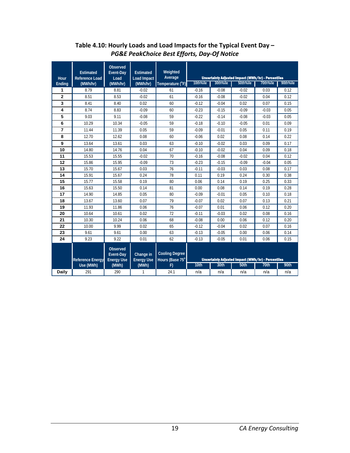<span id="page-22-0"></span>

| Hour           | <b>Estimated</b><br><b>Reference Load</b> | <b>Observed</b><br>Event-Day<br>Load       | <b>Estimated</b><br><b>Load Impact</b> | Weighted<br>Average                      |          |          | <b>Uncertainty Adjusted Impact (MWh/hr) - Percentiles</b> |          |          |
|----------------|-------------------------------------------|--------------------------------------------|----------------------------------------|------------------------------------------|----------|----------|-----------------------------------------------------------|----------|----------|
| Ending         | (MWh/hr)                                  | (MWh/hr)                                   | (MWh/hr)                               | Temperature (°F)                         | 10th%ile | 30th%ile | 50th%ile                                                  | 70th%ile | 90th%ile |
| 1              | 8.79                                      | 8.81                                       | $-0.02$                                | 61                                       | $-0.16$  | $-0.08$  | $-0.02$                                                   | 0.03     | 0.12     |
| $\overline{2}$ | 8.51                                      | 8.53                                       | $-0.02$                                | 61                                       | $-0.16$  | $-0.08$  | $-0.02$                                                   | 0.04     | 0.12     |
| 3              | 8.41                                      | 8.40                                       | 0.02                                   | 60                                       | $-0.12$  | $-0.04$  | 0.02                                                      | 0.07     | 0.15     |
| 4              | 8.74                                      | 8.83                                       | $-0.09$                                | 60                                       | $-0.23$  | $-0.15$  | $-0.09$                                                   | $-0.03$  | 0.05     |
| 5              | 9.03                                      | 9.11                                       | $-0.08$                                | 59                                       | $-0.22$  | $-0.14$  | $-0.08$                                                   | $-0.03$  | 0.05     |
| 6              | 10.29                                     | 10.34                                      | $-0.05$                                | 59                                       | $-0.18$  | $-0.10$  | $-0.05$                                                   | 0.01     | 0.09     |
| 7              | 11.44                                     | 11.39                                      | 0.05                                   | 59                                       | $-0.09$  | $-0.01$  | 0.05                                                      | 0.11     | 0.19     |
| 8              | 12.70                                     | 12.62                                      | 0.08                                   | 60                                       | $-0.06$  | 0.02     | 0.08                                                      | 0.14     | 0.22     |
| 9              | 13.64                                     | 13.61                                      | 0.03                                   | 63                                       | $-0.10$  | $-0.02$  | 0.03                                                      | 0.09     | 0.17     |
| 10             | 14.80                                     | 14.76                                      | 0.04                                   | 67                                       | $-0.10$  | $-0.02$  | 0.04                                                      | 0.09     | 0.18     |
| 11             | 15.53                                     | 15.55                                      | $-0.02$                                | 70                                       | $-0.16$  | $-0.08$  | $-0.02$                                                   | 0.04     | 0.12     |
| 12             | 15.86                                     | 15.95                                      | $-0.09$                                | 73                                       | $-0.23$  | $-0.15$  | $-0.09$                                                   | $-0.04$  | 0.05     |
| 13             | 15.70                                     | 15.67                                      | 0.03                                   | 76                                       | $-0.11$  | $-0.03$  | 0.03                                                      | 0.08     | 0.17     |
| 14             | 15.91                                     | 15.67                                      | 0.24                                   | 78                                       | 0.11     | 0.19     | 0.24                                                      | 0.30     | 0.38     |
| 15             | 15.77                                     | 15.58                                      | 0.19                                   | 80                                       | 0.06     | 0.14     | 0.19                                                      | 0.25     | 0.33     |
| 16             | 15.63                                     | 15.50                                      | 0.14                                   | 81                                       | 0.00     | 0.08     | 0.14                                                      | 0.19     | 0.28     |
| 17             | 14.90                                     | 14.85                                      | 0.05                                   | 80                                       | $-0.09$  | $-0.01$  | 0.05                                                      | 0.10     | 0.18     |
| 18             | 13.67                                     | 13.60                                      | 0.07                                   | 79                                       | $-0.07$  | 0.02     | 0.07                                                      | 0.13     | 0.21     |
| 19             | 11.93                                     | 11.86                                      | 0.06                                   | 76                                       | $-0.07$  | 0.01     | 0.06                                                      | 0.12     | 0.20     |
| 20             | 10.64                                     | 10.61                                      | 0.02                                   | 72                                       | $-0.11$  | $-0.03$  | 0.02                                                      | 0.08     | 0.16     |
| 21             | 10.30                                     | 10.24                                      | 0.06                                   | 68                                       | $-0.08$  | 0.00     | 0.06                                                      | 0.12     | 0.20     |
| 22             | 10.00                                     | 9.99                                       | 0.02                                   | 65                                       | $-0.12$  | $-0.04$  | 0.02                                                      | 0.07     | 0.16     |
| 23             | 9.61                                      | 9.61                                       | 0.00                                   | 63                                       | $-0.13$  | $-0.05$  | 0.00                                                      | 0.06     | 0.14     |
| 24             | 9.23                                      | 9.22                                       | 0.01                                   | 62                                       | $-0.13$  | $-0.05$  | 0.01                                                      | 0.06     | 0.15     |
|                | <b>Reference Energy</b>                   | Observed<br>Event-Day<br><b>Energy Use</b> | Change in<br><b>Energy Use</b>         | <b>Cooling Degree</b><br>Hours (Base 75° |          |          | <b>Uncertainty Adjusted Impact (MWh/hr) - Percentiles</b> |          |          |
|                | Use (MWh)                                 | (MWh)                                      | (MWh)                                  | F)                                       | 10th     | 30th     | 50th                                                      | 70th     | 90th     |
| Daily          | 291                                       | 290                                        | 1                                      | 24.1                                     | n/a      | n/a      | n/a                                                       | n/a      | n/a      |

### **Table 4.10: Hourly Loads and Load Impacts for the Typical Event Day –** *PG&E PeakChoice Best Efforts, Day-Of Notice*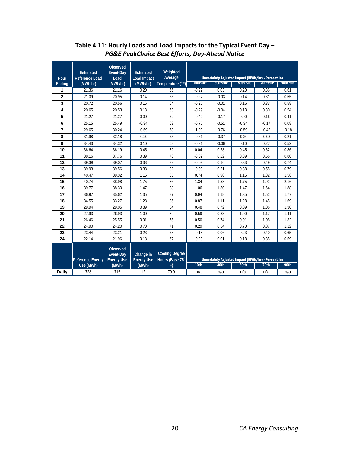<span id="page-23-0"></span>

| Hour           | <b>Estimated</b><br><b>Reference Load</b> | <b>Observed</b><br>Event-Day<br>Load       | <b>Estimated</b><br><b>Load Impact</b> | Weighted<br>Average                      |          |          | Uncertainty Adjusted Impact (MWh/hr) - Percentiles |          |          |
|----------------|-------------------------------------------|--------------------------------------------|----------------------------------------|------------------------------------------|----------|----------|----------------------------------------------------|----------|----------|
| Ending         | (MWh/hr)                                  | (MWh/hr)                                   | (MWh/hr)                               | Temperature (°F)                         | 10th%ile | 30th%ile | 50th%ile                                           | 70th%ile | 90th%ile |
| 1              | 21.36                                     | 21.16                                      | 0.20                                   | 66                                       | $-0.22$  | 0.03     | 0.20                                               | 0.36     | 0.61     |
| $\overline{2}$ | 21.09                                     | 20.95                                      | 0.14                                   | 65                                       | $-0.27$  | $-0.03$  | 0.14                                               | 0.31     | 0.55     |
| 3              | 20.72                                     | 20.56                                      | 0.16                                   | 64                                       | $-0.25$  | $-0.01$  | 0.16                                               | 0.33     | 0.58     |
| 4              | 20.65                                     | 20.53                                      | 0.13                                   | 63                                       | $-0.29$  | $-0.04$  | 0.13                                               | 0.30     | 0.54     |
| 5              | 21.27                                     | 21.27                                      | 0.00                                   | 62                                       | $-0.42$  | $-0.17$  | 0.00                                               | 0.16     | 0.41     |
| 6              | 25.15                                     | 25.49                                      | $-0.34$                                | 63                                       | $-0.75$  | $-0.51$  | $-0.34$                                            | $-0.17$  | 0.08     |
| $\overline{7}$ | 29.65                                     | 30.24                                      | $-0.59$                                | 63                                       | $-1.00$  | $-0.76$  | $-0.59$                                            | $-0.42$  | $-0.18$  |
| 8              | 31.98                                     | 32.18                                      | $-0.20$                                | 65                                       | $-0.61$  | $-0.37$  | $-0.20$                                            | $-0.03$  | 0.21     |
| 9              | 34.43                                     | 34.32                                      | 0.10                                   | 68                                       | $-0.31$  | $-0.06$  | 0.10                                               | 0.27     | 0.52     |
| 10             | 36.64                                     | 36.19                                      | 0.45                                   | 72                                       | 0.04     | 0.28     | 0.45                                               | 0.62     | 0.86     |
| 11             | 38.16                                     | 37.76                                      | 0.39                                   | 76                                       | $-0.02$  | 0.22     | 0.39                                               | 0.56     | 0.80     |
| 12             | 39.39                                     | 39.07                                      | 0.33                                   | 79                                       | $-0.09$  | 0.16     | 0.33                                               | 0.49     | 0.74     |
| 13             | 39.93                                     | 39.56                                      | 0.38                                   | 82                                       | $-0.03$  | 0.21     | 0.38                                               | 0.55     | 0.79     |
| 14             | 40.47                                     | 39.32                                      | 1.15                                   | 85                                       | 0.74     | 0.98     | 1.15                                               | 1.32     | 1.56     |
| 15             | 40.74                                     | 38.98                                      | 1.75                                   | 86                                       | 1.34     | 1.58     | 1.75                                               | 1.92     | 2.16     |
| 16             | 39.77                                     | 38.30                                      | 1.47                                   | 88                                       | 1.06     | 1.30     | 1.47                                               | 1.64     | 1.88     |
| 17             | 36.97                                     | 35.62                                      | 1.35                                   | 87                                       | 0.94     | 1.18     | 1.35                                               | 1.52     | 1.77     |
| 18             | 34.55                                     | 33.27                                      | 1.28                                   | 85                                       | 0.87     | 1.11     | 1.28                                               | 1.45     | 1.69     |
| 19             | 29.94                                     | 29.05                                      | 0.89                                   | 84                                       | 0.48     | 0.72     | 0.89                                               | 1.06     | 1.30     |
| 20             | 27.93                                     | 26.93                                      | 1.00                                   | 79                                       | 0.59     | 0.83     | 1.00                                               | 1.17     | 1.41     |
| 21             | 26.46                                     | 25.55                                      | 0.91                                   | 75                                       | 0.50     | 0.74     | 0.91                                               | 1.08     | 1.32     |
| 22             | 24.90                                     | 24.20                                      | 0.70                                   | 71                                       | 0.29     | 0.54     | 0.70                                               | 0.87     | 1.12     |
| 23             | 23.44                                     | 23.21                                      | 0.23                                   | 68                                       | $-0.18$  | 0.06     | 0.23                                               | 0.40     | 0.65     |
| 24             | 22.14                                     | 21.96                                      | 0.18                                   | 67                                       | $-0.23$  | 0.01     | 0.18                                               | 0.35     | 0.59     |
|                | <b>Reference Energy</b>                   | Observed<br>Event-Day<br><b>Energy Use</b> | Change in<br><b>Energy Use</b>         | <b>Cooling Degree</b><br>Hours (Base 75° |          |          | Uncertainty Adjusted Impact (MWh/hr) - Percentiles |          |          |
|                | Use (MWh)                                 | (MWh)                                      | (MWh)                                  | F)                                       | 10th     | 30th     | 50th                                               | 70th     | 90th     |
| <b>Daily</b>   | 728                                       | 716                                        | 12                                     | 79.9                                     | n/a      | n/a      | n/a                                                | n/a      | n/a      |

### **Table 4.11: Hourly Loads and Load Impacts for the Typical Event Day –** *PG&E PeakChoice Best Efforts, Day-Ahead Notice*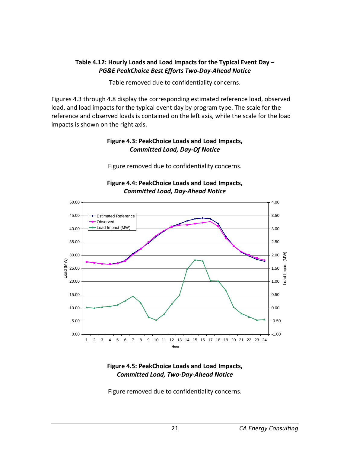#### <span id="page-24-0"></span>**Table 4.12: Hourly Loads and Load Impacts for the Typical Event Day –** *PG&E PeakChoice Best Efforts Two-Day-Ahead Notice*

Table removed due to confidentiality concerns.

<span id="page-24-1"></span>Figures 4.3 through 4.8 display the corresponding estimated reference load, observed load, and load impacts for the typical event day by program type. The scale for the reference and observed loads is contained on the left axis, while the scale for the load impacts is shown on the right axis.

#### **Figure 4.3: PeakChoice Loads and Load Impacts,** *Committed Load, Day-Of Notice*

Figure removed due to confidentiality concerns.

<span id="page-24-2"></span>

**Figure 4.4: PeakChoice Loads and Load Impacts,** *Committed Load, Day-Ahead Notice*

#### <span id="page-24-3"></span>**Figure 4.5: PeakChoice Loads and Load Impacts,** *Committed Load, Two-Day-Ahead Notice*

Figure removed due to confidentiality concerns.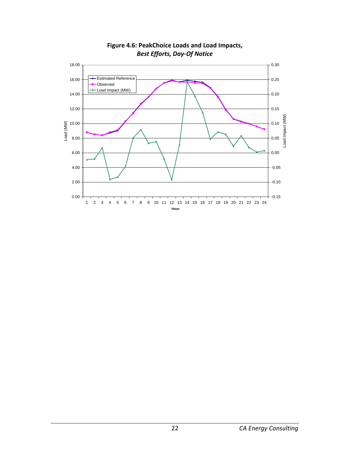<span id="page-25-0"></span>

**Figure 4.6: PeakChoice Loads and Load Impacts,** *Best Efforts, Day-Of Notice*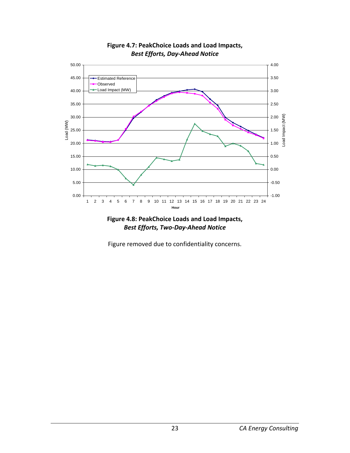<span id="page-26-0"></span>

**Figure 4.7: PeakChoice Loads and Load Impacts,** *Best Efforts, Day-Ahead Notice*

<span id="page-26-1"></span>

Figure removed due to confidentiality concerns.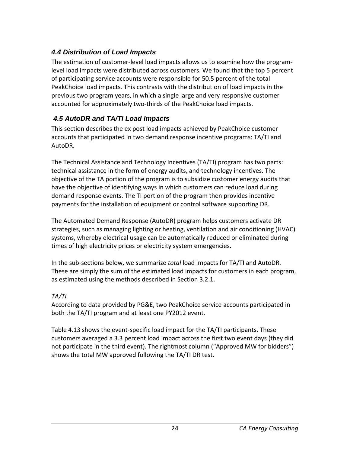## <span id="page-27-0"></span>*4.4 Distribution of Load Impacts*

The estimation of customer-level load impacts allows us to examine how the programlevel load impacts were distributed across customers. We found that the top 5 percent of participating service accounts were responsible for 50.5 percent of the total PeakChoice load impacts. This contrasts with the distribution of load impacts in the previous two program years, in which a single large and very responsive customer accounted for approximately two-thirds of the PeakChoice load impacts.

## <span id="page-27-1"></span>*4.5 AutoDR and TA/TI Load Impacts*

This section describes the ex post load impacts achieved by PeakChoice customer accounts that participated in two demand response incentive programs: TA/TI and AutoDR.

The Technical Assistance and Technology Incentives (TA/TI) program has two parts: technical assistance in the form of energy audits, and technology incentives. The objective of the TA portion of the program is to subsidize customer energy audits that have the objective of identifying ways in which customers can reduce load during demand response events. The TI portion of the program then provides incentive payments for the installation of equipment or control software supporting DR.

The Automated Demand Response (AutoDR) program helps customers activate DR strategies, such as managing lighting or heating, ventilation and air conditioning (HVAC) systems, whereby electrical usage can be automatically reduced or eliminated during times of high electricity prices or electricity system emergencies.

In the sub-sections below, we summarize *total* load impacts for TA/TI and AutoDR. These are simply the sum of the estimated load impacts for customers in each program, as estimated using the methods described in Section 3.2.1.

### *TA/TI*

According to data provided by PG&E, two PeakChoice service accounts participated in both the TA/TI program and at least one PY2012 event.

Table 4.13 shows the event-specific load impact for the TA/TI participants. These customers averaged a 3.3 percent load impact across the first two event days (they did not participate in the third event). The rightmost column ("Approved MW for bidders") shows the total MW approved following the TA/TI DR test.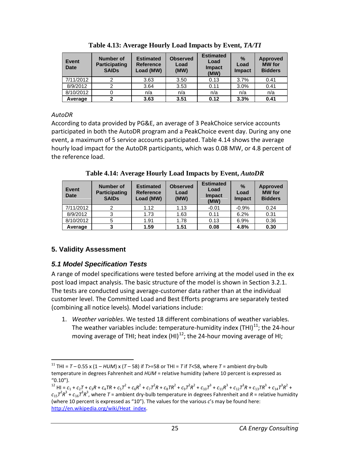<span id="page-28-2"></span>

| <b>Event</b><br><b>Date</b> | <b>Number of</b><br><b>Participating</b><br><b>SAIDS</b> | <b>Estimated</b><br><b>Reference</b><br>Load (MW) | <b>Observed</b><br>Load<br>(MW) | <b>Estimated</b><br>Load<br><b>Impact</b><br>(MW) | $\%$<br>Load<br><b>Impact</b> | <b>Approved</b><br><b>MW</b> for<br><b>Bidders</b> |
|-----------------------------|----------------------------------------------------------|---------------------------------------------------|---------------------------------|---------------------------------------------------|-------------------------------|----------------------------------------------------|
| 7/11/2012                   | 2                                                        | 3.63                                              | 3.50                            | 0.13                                              | 3.7%                          | 0.41                                               |
| 8/9/2012                    | 2                                                        | 3.64                                              | 3.53                            | 0.11                                              | 3.0%                          | 0.41                                               |
| 8/10/2012                   |                                                          | n/a                                               | n/a                             | n/a                                               | n/a                           | n/a                                                |
| Average                     |                                                          | 3.63                                              | 3.51                            | 0.12                                              | 3.3%                          | 0.41                                               |

**Table 4.13: Average Hourly Load Impacts by Event,** *TA/TI*

### *AutoDR*

According to data provided by PG&E, an average of 3 PeakChoice service accounts participated in both the AutoDR program and a PeakChoice event day. During any one event, a maximum of 5 service accounts participated. Table 4.14 shows the average hourly load impact for the AutoDR participants, which was 0.08 MW, or 4.8 percent of the reference load.

**Table 4.14: Average Hourly Load Impacts by Event,** *AutoDR*

<span id="page-28-3"></span>

| <b>Event</b><br><b>Date</b> | Number of<br><b>Participating</b><br><b>SAIDs</b> | <b>Estimated</b><br><b>Reference</b><br>Load (MW) | <b>Observed</b><br>Load<br>(MW) | <b>Estimated</b><br>Load<br><b>Impact</b><br>(MW) | $\frac{0}{0}$<br>Load<br><b>Impact</b> | <b>Approved</b><br><b>MW</b> for<br><b>Bidders</b> |
|-----------------------------|---------------------------------------------------|---------------------------------------------------|---------------------------------|---------------------------------------------------|----------------------------------------|----------------------------------------------------|
| 7/11/2012                   | 2                                                 | 1.12                                              | 1.13                            | $-0.01$                                           | $-0.9%$                                | 0.24                                               |
| 8/9/2012                    | 3                                                 | 1.73                                              | 1.63                            | 0.11                                              | 6.2%                                   | 0.31                                               |
| 8/10/2012                   | 5                                                 | 1.91                                              | 1.78                            | 0.13                                              | 6.9%                                   | 0.36                                               |
| Average                     | 3                                                 | 1.59                                              | 1.51                            | 0.08                                              | 4.8%                                   | 0.30                                               |

# <span id="page-28-0"></span>**5. Validity Assessment**

# <span id="page-28-1"></span>*5.1 Model Specification Tests*

A range of model specifications were tested before arriving at the model used in the ex post load impact analysis. The basic structure of the model is shown in Section 3.2.1. The tests are conducted using average-customer data rather than at the individual customer level. The Committed Load and Best Efforts programs are separately tested (combining all notice levels). Model variations include:

1. *Weather variables*. We tested 18 different combinations of weather variables. The weather variables include: temperature-humidity index (THI) $^{11}$ ; the 24-hour moving average of THI; heat index  $(HI)^{12}$ ; the 24-hour moving average of HI;

<span id="page-28-4"></span><sup>&</sup>lt;sup>11</sup> THI =  $T - 0.55$  x (1 –  $HUM$ ) x ( $T - 58$ ) if  $T > 58$  or THI =  $T$  if  $T < 58$ , where  $T =$  ambient dry-bulb temperature in degrees Fahrenheit and *HUM* = relative humidity (where 10 percent is expressed as "0.10").

<span id="page-28-5"></span><sup>&</sup>lt;sup>12</sup> HI =  $c_1$  +  $c_2$ T +  $c_3$ R +  $c_4$ TR +  $c_5$ T<sup>2</sup> +  $c_6$ R<sup>2</sup> +  $c_7$ T<sup>2</sup>R +  $c_8$ TR<sup>2</sup> +  $c_9$ T<sup>2</sup>R<sup>2</sup> +  $c_{10}$ T<sup>3</sup> +  $c_{11}$ R<sup>3</sup> +  $c_{12}$ T<sup>3</sup>R +  $c_{13}$ TR<sup>3</sup> +  $c_{14}$ T<sup>3</sup>R<sup>2</sup> +  $c_{15}$  $7^2R^3$  +  $c_{16}$  $7^3R^3$ , where  $T$  = ambient dry-bulb temperature in degrees Fahrenheit and  $R$  = relative humidity (where 10 percent is expressed as "10"). The values for the various *c*'s may be found here: [http://en.wikipedia.org/wiki/Heat\\_index.](http://en.wikipedia.org/wiki/Heat_index)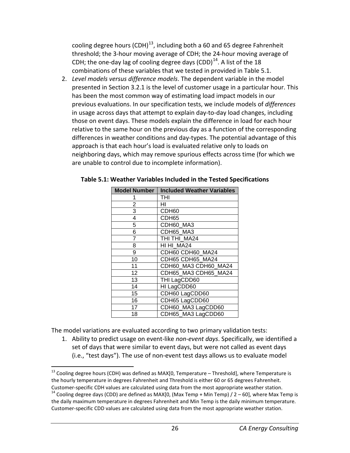cooling degree hours (CDH) $^{13}$  $^{13}$  $^{13}$ , including both a 60 and 65 degree Fahrenheit threshold; the 3-hour moving average of CDH; the 24-hour moving average of CDH; the one-day lag of cooling degree days  $(CDD)^{14}$ . A list of the 18 combinations of these variables that we tested in provided in Table 5.1.

2. *Level models versus difference models*. The dependent variable in the model presented in Section 3.2.1 is the level of customer usage in a particular hour. This has been the most common way of estimating load impact models in our previous evaluations. In our specification tests, we include models of *differences* in usage across days that attempt to explain day-to-day load changes, including those on event days. These models explain the difference in load for each hour relative to the same hour on the previous day as a function of the corresponding differences in weather conditions and day-types. The potential advantage of this approach is that each hour's load is evaluated relative only to loads on neighboring days, which may remove spurious effects across time (for which we are unable to control due to incomplete information).

| Model Number   | <b>Included Weather Variables</b> |
|----------------|-----------------------------------|
|                | THI                               |
| $\overline{2}$ | HI                                |
| 3              | CDH <sub>60</sub>                 |
| 4              | CDH65                             |
| 5              | CDH60_MA3                         |
| 6              | CDH65 MA3                         |
| 7              | THI THI MA24                      |
| 8              | HI HI_MA24                        |
| 9              | CDH60 CDH60_MA24                  |
| 10             | CDH65 CDH65 MA24                  |
| 11             | CDH60 MA3 CDH60 MA24              |
| 12             | CDH65_MA3 CDH65_MA24              |
| 13             | THI LagCDD60                      |
| 14             | HI LagCDD60                       |
| 15             | CDH60 LagCDD60                    |
| 16             | CDH65 LagCDD60                    |
| 17             | CDH60_MA3 LagCDD60                |
| 18             | CDH65_MA3 LagCDD60                |

#### **Table 5.1: Weather Variables Included in the Tested Specifications**

The model variations are evaluated according to two primary validation tests:

1. Ability to predict usage on event-like *non-event days*. Specifically, we identified a set of days that were similar to event days, but were not called as event days (i.e., "test days"). The use of non-event test days allows us to evaluate model

<span id="page-29-0"></span><sup>&</sup>lt;sup>13</sup> Cooling degree hours (CDH) was defined as MAX[0, Temperature – Threshold], where Temperature is the hourly temperature in degrees Fahrenheit and Threshold is either 60 or 65 degrees Fahrenheit.

<span id="page-29-1"></span>Customer-specific CDH values are calculated using data from the most appropriate weather station.<br><sup>14</sup> Cooling degree days (CDD) are defined as MAX[0, (Max Temp + Min Temp) / 2 – 60], where Max Temp is the daily maximum temperature in degrees Fahrenheit and Min Temp is the daily minimum temperature. Customer-specific CDD values are calculated using data from the most appropriate weather station.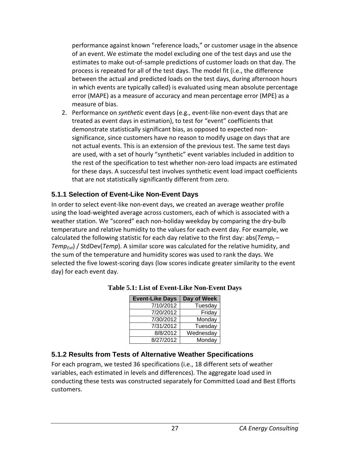performance against known "reference loads," or customer usage in the absence of an event. We estimate the model excluding one of the test days and use the estimates to make out-of-sample predictions of customer loads on that day. The process is repeated for all of the test days. The model fit (i.e., the difference between the actual and predicted loads on the test days, during afternoon hours in which events are typically called) is evaluated using mean absolute percentage error (MAPE) as a measure of accuracy and mean percentage error (MPE) as a measure of bias.

2. Performance on *synthetic* event days (e.g., event-like non-event days that are treated as event days in estimation), to test for "event" coefficients that demonstrate statistically significant bias, as opposed to expected nonsignificance, since customers have no reason to modify usage on days that are not actual events. This is an extension of the previous test. The same test days are used, with a set of hourly "synthetic" event variables included in addition to the rest of the specification to test whether non-zero load impacts are estimated for these days. A successful test involves synthetic event load impact coefficients that are not statistically significantly different from zero.

## <span id="page-30-0"></span>**5.1.1 Selection of Event-Like Non-Event Days**

In order to select event-like non-event days, we created an average weather profile using the load-weighted average across customers, each of which is associated with a weather station. We "scored" each non-holiday weekday by comparing the dry-bulb temperature and relative humidity to the values for each event day. For example, we calculated the following statistic for each day relative to the first day: abs( $Temp_t -$ *Temp<sub>Evt</sub>*) / StdDev(*Temp*). A similar score was calculated for the relative humidity, and the sum of the temperature and humidity scores was used to rank the days. We selected the five lowest-scoring days (low scores indicate greater similarity to the event day) for each event day.

| <b>Event-Like Days</b> | Day of Week |
|------------------------|-------------|
| 7/10/2012              | Tuesday     |
| 7/20/2012              | Friday      |
| 7/30/2012              | Monday      |
| 7/31/2012              | Tuesday     |
| 8/8/2012               | Wednesday   |
| 8/27/2012              | Monday      |

<span id="page-30-2"></span>**Table 5.1: List of Event-Like Non-Event Days**

## <span id="page-30-1"></span>**5.1.2 Results from Tests of Alternative Weather Specifications**

For each program, we tested 36 specifications (i.e., 18 different sets of weather variables, each estimated in levels and differences). The aggregate load used in conducting these tests was constructed separately for Committed Load and Best Efforts customers.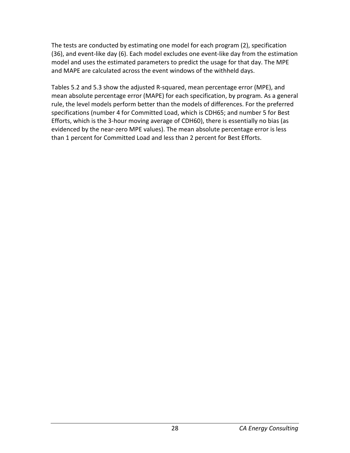The tests are conducted by estimating one model for each program (2), specification (36), and event-like day (6). Each model excludes one event-like day from the estimation model and uses the estimated parameters to predict the usage for that day. The MPE and MAPE are calculated across the event windows of the withheld days.

Tables 5.2 and 5.3 show the adjusted R-squared, mean percentage error (MPE), and mean absolute percentage error (MAPE) for each specification, by program. As a general rule, the level models perform better than the models of differences. For the preferred specifications (number 4 for Committed Load, which is CDH65; and number 5 for Best Efforts, which is the 3-hour moving average of CDH60), there is essentially no bias (as evidenced by the near-zero MPE values). The mean absolute percentage error is less than 1 percent for Committed Load and less than 2 percent for Best Efforts.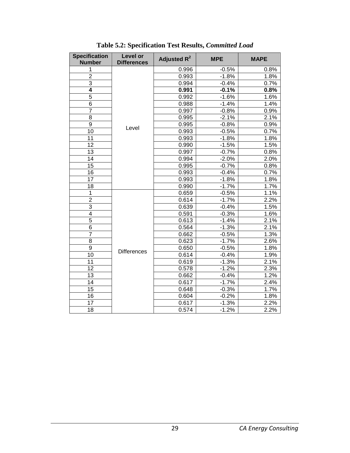<span id="page-32-0"></span>

| <b>Specification</b><br><b>Number</b> | Level or<br><b>Differences</b> | Adjusted $R^2$ | <b>MPE</b> | <b>MAPE</b> |
|---------------------------------------|--------------------------------|----------------|------------|-------------|
| 1                                     |                                | 0.996          | $-0.5%$    | 0.8%        |
| $\overline{2}$                        |                                | 0.993          | $-1.8%$    | 1.8%        |
| 3                                     |                                | 0.994          | $-0.4%$    | 0.7%        |
| 4                                     |                                | 0.991          | $-0.1%$    | 0.8%        |
| $\overline{5}$                        |                                | 0.992          | $-1.6%$    | 1.6%        |
| 6                                     |                                | 0.988          | $-1.4%$    | 1.4%        |
| $\overline{7}$                        |                                | 0.997          | $-0.8%$    | 0.9%        |
| 8                                     |                                | 0.995          | $-2.1%$    | 2.1%        |
| $\overline{9}$                        | Level                          | 0.995          | $-0.8%$    | 0.9%        |
| 10                                    |                                | 0.993          | $-0.5%$    | 0.7%        |
| 11                                    |                                | 0.993          | $-1.8%$    | 1.8%        |
| 12                                    |                                | 0.990          | $-1.5%$    | 1.5%        |
| 13                                    |                                | 0.997          | $-0.7%$    | 0.8%        |
| 14                                    |                                | 0.994          | $-2.0%$    | 2.0%        |
| 15                                    |                                | 0.995          | $-0.7%$    | 0.8%        |
| 16                                    |                                | 0.993          | $-0.4%$    | 0.7%        |
| 17                                    |                                | 0.993          | $-1.8%$    | 1.8%        |
| 18                                    |                                | 0.990          | $-1.7%$    | 1.7%        |
| $\mathbf 1$                           |                                | 0.659          | $-0.5%$    | 1.1%        |
| $\overline{2}$                        |                                | 0.614          | $-1.7%$    | 2.2%        |
| 3                                     |                                | 0.639          | $-0.4%$    | 1.5%        |
| $\overline{4}$                        |                                | 0.591          | $-0.3%$    | 1.6%        |
| 5                                     |                                | 0.613          | $-1.4%$    | 2.1%        |
| $\overline{6}$                        |                                | 0.564          | $-1.3%$    | 2.1%        |
| $\overline{7}$                        |                                | 0.662          | $-0.5%$    | 1.3%        |
| $\overline{8}$                        |                                | 0.623          | $-1.7%$    | 2.6%        |
| $\overline{9}$                        | <b>Differences</b>             | 0.650          | $-0.5%$    | 1.8%        |
| $\overline{10}$                       |                                | 0.614          | $-0.4%$    | 1.9%        |
| 11                                    |                                | 0.619          | $-1.3%$    | 2.1%        |
| $\overline{12}$                       |                                | 0.578          | $-1.2%$    | 2.3%        |
| 13                                    |                                | 0.662          | $-0.4%$    | 1.2%        |
| 14                                    |                                | 0.617          | $-1.7%$    | 2.4%        |
| $\overline{15}$                       |                                | 0.648          | $-0.3%$    | 1.7%        |
| 16                                    |                                | 0.604          | $-0.2%$    | 1.8%        |
| 17                                    |                                | 0.617          | $-1.3%$    | 2.2%        |
| 18                                    |                                | 0.574          | $-1.2%$    | 2.2%        |

**Table 5.2: Specification Test Results,** *Committed Load*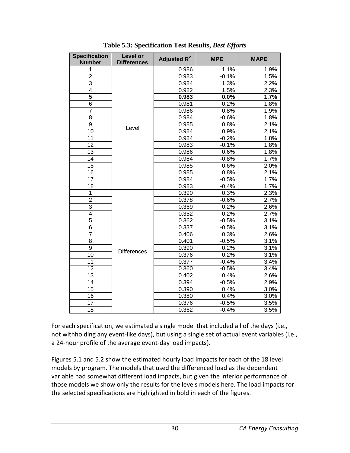<span id="page-33-0"></span>

| <b>Specification</b> | Level or           | Adjusted R <sup>2</sup> | <b>MPE</b> | <b>MAPE</b> |
|----------------------|--------------------|-------------------------|------------|-------------|
| <b>Number</b>        | <b>Differences</b> |                         |            |             |
| 1                    |                    | 0.986                   | 1.1%       | 1.9%        |
| $\overline{2}$       |                    | 0.983                   | $-0.1%$    | 1.5%        |
| 3                    |                    | 0.984                   | 1.3%       | 2.2%        |
| $\overline{4}$       |                    | 0.982                   | 1.5%       | 2.3%        |
| $\overline{5}$       |                    | 0.983                   | 0.0%       | 1.7%        |
| $\overline{6}$       |                    | 0.981                   | 0.2%       | 1.8%        |
| $\overline{7}$       |                    | 0.986                   | 0.8%       | 1.9%        |
| $\overline{8}$       |                    | 0.984                   | $-0.6%$    | 1.8%        |
| $\overline{9}$       | Level              | 0.985                   | 0.8%       | 2.1%        |
| $\overline{10}$      |                    | 0.984                   | 0.9%       | 2.1%        |
| 11                   |                    | 0.984                   | $-0.2%$    | 1.8%        |
| $\overline{12}$      |                    | 0.983                   | $-0.1%$    | 1.8%        |
| 13                   |                    | 0.986                   | 0.6%       | 1.8%        |
| 14                   |                    | 0.984                   | $-0.8%$    | 1.7%        |
| 15                   |                    | 0.985                   | 0.6%       | 2.0%        |
| 16                   |                    | 0.985                   | 0.8%       | 2.1%        |
| 17                   |                    | 0.984                   | $-0.5%$    | 1.7%        |
| 18                   |                    | 0.983                   | $-0.4%$    | 1.7%        |
| 1                    |                    | 0.390                   | 0.3%       | 2.3%        |
| $\overline{2}$       |                    | 0.378                   | $-0.6%$    | 2.7%        |
| $\overline{3}$       |                    | 0.369                   | 0.2%       | 2.6%        |
| 4                    |                    | 0.352                   | 0.2%       | 2.7%        |
| 5                    |                    | 0.362                   | $-0.5%$    | 3.1%        |
| $\overline{6}$       |                    | 0.337                   | $-0.5%$    | 3.1%        |
| $\overline{7}$       |                    | 0.406                   | 0.3%       | 2.6%        |
| 8                    | <b>Differences</b> | 0.401                   | $-0.5%$    | 3.1%        |
| $\overline{9}$       |                    | 0.390                   | 0.2%       | 3.1%        |
| 10                   |                    | 0.376                   | 0.2%       | 3.1%        |
| 11                   |                    | 0.377                   | $-0.4%$    | 3.4%        |
| 12                   |                    | 0.360                   | $-0.5%$    | 3.4%        |
| 13                   |                    | 0.402                   | 0.4%       | 2.6%        |
| 14                   |                    | 0.394                   | $-0.5%$    | 2.9%        |
| 15                   |                    | 0.390                   | 0.4%       | 3.0%        |
| $\overline{16}$      |                    | 0.380                   | 0.4%       | 3.0%        |
| 17                   |                    | 0.376                   | $-0.5%$    | 3.5%        |
| 18                   |                    | 0.362                   | $-0.4%$    | 3.5%        |

**Table 5.3: Specification Test Results,** *Best Efforts*

For each specification, we estimated a single model that included all of the days (i.e., not withholding any event-like days), but using a single set of actual event variables (i.e., a 24-hour profile of the average event-day load impacts).

Figures 5.1 and 5.2 show the estimated hourly load impacts for each of the 18 level models by program. The models that used the differenced load as the dependent variable had somewhat different load impacts, but given the inferior performance of those models we show only the results for the levels models here. The load impacts for the selected specifications are highlighted in bold in each of the figures.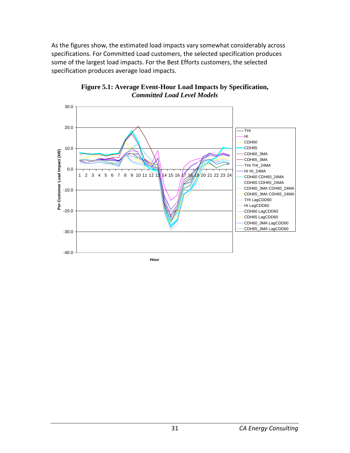As the figures show, the estimated load impacts vary somewhat considerably across specifications. For Committed Load customers, the selected specification produces some of the largest load impacts. For the Best Efforts customers, the selected specification produces average load impacts.

<span id="page-34-1"></span><span id="page-34-0"></span>

**Figure 5.1: Average Event-Hour Load Impacts by Specification,**  *Committed Load Level Models*

**Hour**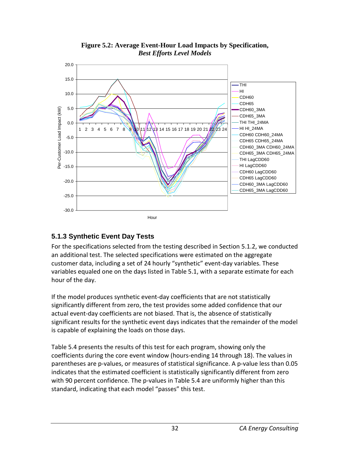<span id="page-35-2"></span><span id="page-35-1"></span>

**Figure 5.2: Average Event-Hour Load Impacts by Specification,**  *Best Efforts Level Models*

## <span id="page-35-0"></span>**5.1.3 Synthetic Event Day Tests**

For the specifications selected from the testing described in Section 5.1.2, we conducted an additional test. The selected specifications were estimated on the aggregate customer data, including a set of 24 hourly "synthetic" event-day variables. These variables equaled one on the days listed in Table 5.1, with a separate estimate for each hour of the day.

If the model produces synthetic event-day coefficients that are not statistically significantly different from zero, the test provides some added confidence that our actual event-day coefficients are not biased. That is, the absence of statistically significant results for the synthetic event days indicates that the remainder of the model is capable of explaining the loads on those days.

Table 5.4 presents the results of this test for each program, showing only the coefficients during the core event window (hours-ending 14 through 18). The values in parentheses are p-values, or measures of statistical significance. A p-value less than 0.05 indicates that the estimated coefficient is statistically significantly different from zero with 90 percent confidence. The p-values in Table 5.4 are uniformly higher than this standard, indicating that each model "passes" this test.